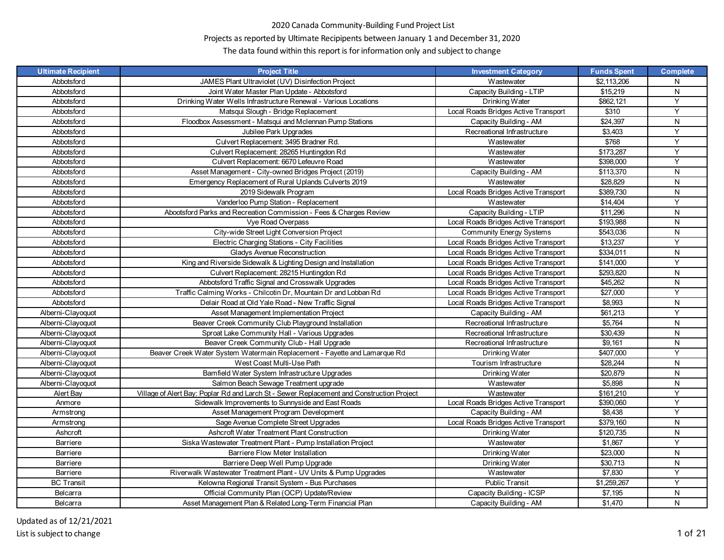# Projects as reported by Ultimate Recipipents between January 1 and December 31, 2020

| <b>Ultimate Recipient</b> | <b>Project Title</b>                                                                      | <b>Investment Category</b>           | <b>Funds Spent</b> | <b>Complete</b> |
|---------------------------|-------------------------------------------------------------------------------------------|--------------------------------------|--------------------|-----------------|
| Abbotsford                | JAMES Plant Ultraviolet (UV) Disinfection Project                                         | Wastewater                           | \$2,113,206        | N               |
| Abbotsford                | Joint Water Master Plan Update - Abbotsford                                               | Capacity Building - LTIP             | \$15,219           | N               |
| Abbotsford                | Drinking Water Wells Infrastructure Renewal - Various Locations                           | Drinking Water                       | \$862,121          | Y               |
| Abbotsford                | Matsqui Slough - Bridge Replacement                                                       | Local Roads Bridges Active Transport | \$310              | Y               |
| Abbotsford                | Floodbox Assessment - Matsqui and Mclennan Pump Stations                                  | Capacity Building - AM               | \$24,397           | N               |
| Abbotsford                | Jubilee Park Upgrades                                                                     | Recreational Infrastructure          | \$3,403            | Y               |
| Abbotsford                | Culvert Replacement: 3495 Bradner Rd.                                                     | Wastewater                           | \$768              | Y               |
| Abbotsford                | Culvert Replacement: 28265 Huntingdon Rd                                                  | Wastewater                           | \$173,287          | Y               |
| Abbotsford                | Culvert Replacement: 6670 Lefeuvre Road                                                   | Wastewater                           | \$398,000          | Y               |
| Abbotsford                | Asset Management - City-owned Bridges Project (2019)                                      | Capacity Building - AM               | \$113,370          | N               |
| Abbotsford                | Emergency Replacement of Rural Uplands Culverts 2019                                      | Wastewater                           | \$28,829           | ${\sf N}$       |
| Abbotsford                | 2019 Sidewalk Program                                                                     | Local Roads Bridges Active Transport | \$389,730          | N               |
| Abbotsford                | Vanderloo Pump Station - Replacement                                                      | Wastewater                           | \$14,404           | Y               |
| Abbotsford                | Abootsford Parks and Recreation Commission - Fees & Charges Review                        | Capacity Building - LTIP             | \$11,296           | ${\sf N}$       |
| Abbotsford                | Vye Road Overpass                                                                         | Local Roads Bridges Active Transport | \$193,988          | N               |
| Abbotsford                | City-wide Street Light Conversion Project                                                 | <b>Community Energy Systems</b>      | \$543,036          | ${\sf N}$       |
| Abbotsford                | Electric Charging Stations - City Facilities                                              | Local Roads Bridges Active Transport | \$13,237           | Y               |
| Abbotsford                | <b>Gladys Avenue Reconstruction</b>                                                       | Local Roads Bridges Active Transport | \$334,011          | N               |
| Abbotsford                | King and Riverside Sidewalk & Lighting Design and Installation                            | Local Roads Bridges Active Transport | \$141,000          | Y               |
| Abbotsford                | Culvert Replacement: 28215 Huntingdon Rd                                                  | Local Roads Bridges Active Transport | \$293,820          | N               |
| Abbotsford                | Abbotsford Traffic Signal and Crosswalk Upgrades                                          | Local Roads Bridges Active Transport | \$45,262           | ${\sf N}$       |
| Abbotsford                | Traffic Calming Works - Chilcotin Dr, Mountain Dr and Lobban Rd                           | Local Roads Bridges Active Transport | \$27,000           | Y               |
| Abbotsford                | Delair Road at Old Yale Road - New Traffic Signal                                         | Local Roads Bridges Active Transport | \$8,993            | N               |
| Alberni-Clayoquot         | Asset Management Implementation Project                                                   | Capacity Building - AM               | \$61,213           | Y               |
| Alberni-Clayoquot         | Beaver Creek Community Club Playground Installation                                       | Recreational Infrastructure          | \$5,764            | N               |
| Alberni-Clayoquot         | Sproat Lake Community Hall - Various Upgrades                                             | Recreational Infrastructure          | \$30,439           | ${\sf N}$       |
| Alberni-Clayoquot         | Beaver Creek Community Club - Hall Upgrade                                                | Recreational Infrastructure          | \$9,161            | $\mathsf{N}$    |
| Alberni-Clayoquot         | Beaver Creek Water System Watermain Replacement - Fayette and Lamarque Rd                 | Drinking Water                       | \$407,000          | Y               |
| Alberni-Clayoquot         | West Coast Multi-Use Path                                                                 | Tourism Infrastructure               | \$28,244           | N               |
| Alberni-Clayoquot         | Bamfield Water System Infrastructure Upgrades                                             | Drinking Water                       | \$20,879           | ${\sf N}$       |
| Alberni-Clayoquot         | Salmon Beach Sewage Treatment upgrade                                                     | Wastewater                           | \$5,898            | ${\sf N}$       |
| Alert Bay                 | Village of Alert Bay: Poplar Rd and Larch St - Sewer Replacement and Construction Project | Wastewater                           | \$161,210          | Y               |
| Anmore                    | Sidewalk Improvements to Sunnyside and East Roads                                         | Local Roads Bridges Active Transport | \$390,060          | Y               |
| Armstrong                 | Asset Management Program Development                                                      | Capacity Building - AM               | \$8,438            | $\overline{Y}$  |
| Armstrong                 | Sage Avenue Complete Street Upgrades                                                      | Local Roads Bridges Active Transport | \$379,160          | N               |
| Ashcroft                  | Ashcroft Water Treatment Plant Construction                                               | Drinking Water                       | \$120,735          | N               |
| Barriere                  | Siska Wastewater Treatment Plant - Pump Installation Project                              | Wastewater                           | \$1,867            | Y               |
| Barriere                  | Barriere Flow Meter Installation                                                          | Drinking Water                       | \$23,000           | N               |
| Barriere                  | Barriere Deep Well Pump Upgrade                                                           | Drinking Water                       | \$30,713           | ${\sf N}$       |
| Barriere                  | Riverwalk Wastewater Treatment Plant - UV Units & Pump Upgrades                           | Wastewater                           | \$7,830            | Y               |
| <b>BC Transit</b>         | Kelowna Regional Transit System - Bus Purchases                                           | <b>Public Transit</b>                | \$1,259,267        | Y               |
| Belcarra                  | Official Community Plan (OCP) Update/Review                                               | Capacity Building - ICSP             | \$7,195            | ${\sf N}$       |
| Belcarra                  | Asset Management Plan & Related Long-Term Financial Plan                                  | Capacity Building - AM               | \$1,470            | ${\sf N}$       |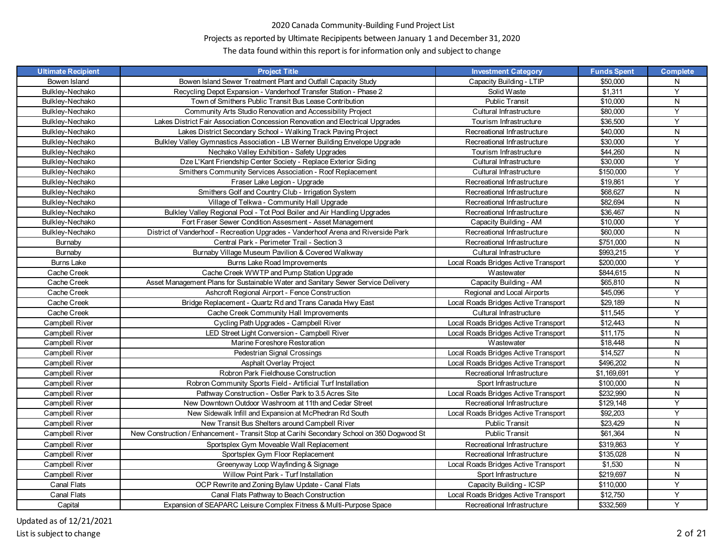# Projects as reported by Ultimate Recipipents between January 1 and December 31, 2020

| <b>Ultimate Recipient</b> | <b>Project Title</b>                                                                       | <b>Investment Category</b>           | <b>Funds Spent</b> | <b>Complete</b> |
|---------------------------|--------------------------------------------------------------------------------------------|--------------------------------------|--------------------|-----------------|
| Bowen Island              | Bowen Island Sewer Treatment Plant and Outfall Capacity Study                              | Capacity Building - LTIP             | \$50,000           | N               |
| Bulkley-Nechako           | Recycling Depot Expansion - Vanderhoof Transfer Station - Phase 2                          | Solid Waste                          | \$1,311            | Y               |
| Bulkley-Nechako           | Town of Smithers Public Transit Bus Lease Contribution                                     | <b>Public Transit</b>                | \$10,000           | N               |
| Bulkley-Nechako           | Community Arts Studio Renovation and Accessibility Project                                 | Cultural Infrastructure              | \$80,000           | Y               |
| Bulkley-Nechako           | Lakes District Fair Association Concession Renovation and Electrical Upgrades              | Tourism Infrastructure               | \$36,500           | Y               |
| Bulkley-Nechako           | Lakes District Secondary School - Walking Track Paving Project                             | Recreational Infrastructure          | \$40,000           | N               |
| Bulkley-Nechako           | Bulkley Valley Gymnastics Association - LB Werner Building Envelope Upgrade                | Recreational Infrastructure          | \$30,000           | Y               |
| Bulkley-Nechako           | Nechako Valley Exhibition - Safety Upgrades                                                | Tourism Infrastructure               | \$44,260           | N               |
| Bulkley-Nechako           | Dze L'Kant Friendship Center Society - Replace Exterior Siding                             | Cultural Infrastructure              | \$30,000           | Y               |
| Bulkley-Nechako           | Smithers Community Services Association - Roof Replacement                                 | Cultural Infrastructure              | \$150,000          | Y               |
| Bulkley-Nechako           | Fraser Lake Legion - Upgrade                                                               | Recreational Infrastructure          | \$19,861           | Y               |
| Bulkley-Nechako           | Smithers Golf and Country Club - Irrigation System                                         | Recreational Infrastructure          | \$68,627           | N               |
| Bulkley-Nechako           | Village of Telkwa - Community Hall Upgrade                                                 | Recreational Infrastructure          | \$82,694           | N               |
| Bulkley-Nechako           | Bulkley Valley Regional Pool - Tot Pool Boiler and Air Handling Upgrades                   | Recreational Infrastructure          | \$36,467           | N               |
| Bulkley-Nechako           | Fort Fraser Sewer Condition Assesment - Asset Management                                   | Capacity Building - AM               | \$10,000           | Y               |
| Bulkley-Nechako           | District of Vanderhoof - Recreation Upgrades - Vanderhoof Arena and Riverside Park         | Recreational Infrastructure          | \$60,000           | N               |
| Burnaby                   | Central Park - Perimeter Trail - Section 3                                                 | Recreational Infrastructure          | \$751,000          | N               |
| Burnaby                   | Burnaby Village Museum Pavilion & Covered Walkway                                          | Cultural Infrastructure              | \$993,215          | Y               |
| <b>Burns Lake</b>         | Burns Lake Road Improvements                                                               | Local Roads Bridges Active Transport | \$200,000          | Y               |
| Cache Creek               | Cache Creek WWTP and Pump Station Upgrade                                                  | Wastewater                           | \$844,615          | N               |
| Cache Creek               | Asset Management Plans for Sustainable Water and Sanitary Sewer Service Delivery           | Capacity Building - AM               | \$65,810           | N               |
| Cache Creek               | Ashcroft Regional Airport - Fence Construction                                             | Regional and Local Airports          | \$45,096           | Y               |
| Cache Creek               | Bridge Replacement - Quartz Rd and Trans Canada Hwy East                                   | Local Roads Bridges Active Transport | \$29,189           | N               |
| Cache Creek               | Cache Creek Community Hall Improvements                                                    | Cultural Infrastructure              | \$11,545           | Y               |
| Campbell River            | Cycling Path Upgrades - Campbell River                                                     | Local Roads Bridges Active Transport | \$12,443           | N               |
| Campbell River            | LED Street Light Conversion - Campbell River                                               | Local Roads Bridges Active Transport | \$11,175           | N               |
| Campbell River            | Marine Foreshore Restoration                                                               | Wastewater                           | \$18,448           | N               |
| Campbell River            | Pedestrian Signal Crossings                                                                | Local Roads Bridges Active Transport | \$14,527           | N               |
| Campbell River            | <b>Asphalt Overlay Project</b>                                                             | Local Roads Bridges Active Transport | \$496,202          | N               |
| Campbell River            | Robron Park Fieldhouse Construction                                                        | Recreational Infrastructure          | \$1,169,691        | Y               |
| Campbell River            | Robron Community Sports Field - Artificial Turf Installation                               | Sport Infrastructure                 | \$100,000          | N               |
| Campbell River            | Pathway Construction - Ostler Park to 3.5 Acres Site                                       | Local Roads Bridges Active Transport | \$232.990          | N               |
| Campbell River            | New Downtown Outdoor Washroom at 11th and Cedar Street                                     | Recreational Infrastructure          | \$129,148          | Y               |
| Campbell River            | New Sidewalk Infill and Expansion at McPhedran Rd South                                    | Local Roads Bridges Active Transport | \$92,203           | Y               |
| Campbell River            | New Transit Bus Shelters around Campbell River                                             | <b>Public Transit</b>                | \$23,429           | N               |
| Campbell River            | New Construction / Enhancement - Transit Stop at Carihi Secondary School on 350 Dogwood St | <b>Public Transit</b>                | \$61,364           | N               |
| Campbell River            | Sportsplex Gym Moveable Wall Replacement                                                   | Recreational Infrastructure          | \$319.863          | Y               |
| Campbell River            | Sportsplex Gym Floor Replacement                                                           | Recreational Infrastructure          | \$135,028          | N               |
| Campbell River            | Greenyway Loop Wayfinding & Signage                                                        | Local Roads Bridges Active Transport | \$1,530            | N               |
| Campbell River            | Willow Point Park - Turf Installation                                                      | Sport Infrastructure                 | \$219,697          | N               |
| Canal Flats               | OCP Rewrite and Zoning Bylaw Update - Canal Flats                                          | Capacity Building - ICSP             | \$110,000          | Y               |
| Canal Flats               | Canal Flats Pathway to Beach Construction                                                  | Local Roads Bridges Active Transport | \$12,750           | Υ               |
| Capital                   | Expansion of SEAPARC Leisure Complex Fitness & Multi-Purpose Space                         | Recreational Infrastructure          | \$332,569          | Y               |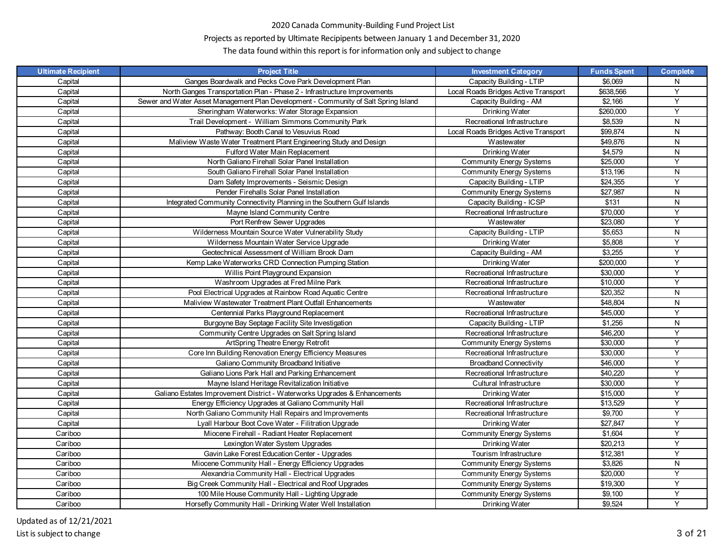# Projects as reported by Ultimate Recipipents between January 1 and December 31, 2020

| <b>Ultimate Recipient</b> | <b>Project Title</b>                                                                | <b>Investment Category</b>           | <b>Funds Spent</b> | <b>Complete</b> |
|---------------------------|-------------------------------------------------------------------------------------|--------------------------------------|--------------------|-----------------|
| Capital                   | Ganges Boardwalk and Pecks Cove Park Development Plan                               | Capacity Building - LTIP             | \$6,069            | N               |
| Capital                   | North Ganges Transportation Plan - Phase 2 - Infrastructure Improvements            | Local Roads Bridges Active Transport | \$638,566          | Y               |
| Capital                   | Sewer and Water Asset Management Plan Development - Community of Salt Spring Island | Capacity Building - AM               | \$2,166            | Y               |
| Capital                   | Sheringham Waterworks: Water Storage Expansion                                      | Drinking Water                       | \$260,000          | Y               |
| Capital                   | Trail Development - William Simmons Community Park                                  | Recreational Infrastructure          | \$8,539            | N               |
| Capital                   | Pathway: Booth Canal to Vesuvius Road                                               | Local Roads Bridges Active Transport | \$99,874           | N               |
| Capital                   | Maliview Waste Water Treatment Plant Engineering Study and Design                   | Wastewater                           | \$49,876           | N               |
| Capital                   | Fulford Water Main Replacement                                                      | Drinking Water                       | \$4,579            | N               |
| Capital                   | North Galiano Firehall Solar Panel Installation                                     | <b>Community Energy Systems</b>      | \$25,000           | Y               |
| Capital                   | South Galiano Firehall Solar Panel Installation                                     | <b>Community Energy Systems</b>      | \$13,196           | N               |
| Capital                   | Dam Safety Improvements - Seismic Design                                            | Capacity Building - LTIP             | \$24,355           | Y               |
| Capital                   | Pender Firehalls Solar Panel Installation                                           | <b>Community Energy Systems</b>      | \$27,987           | N               |
| Capital                   | Integrated Community Connectivity Planning in the Southern Gulf Islands             | Capacity Building - ICSP             | \$131              | N               |
| Capital                   | Mayne Island Community Centre                                                       | Recreational Infrastructure          | \$70,000           | Y               |
| Capital                   | Port Renfrew Sewer Upgrades                                                         | Wastewater                           | \$23,080           | Y               |
| Capital                   | Wilderness Mountain Source Water Vulnerability Study                                | Capacity Building - LTIP             | \$5,653            | N               |
| Capital                   | Wilderness Mountain Water Service Upgrade                                           | Drinking Water                       | \$5,808            | Y               |
| Capital                   | Geotechnical Assessment of William Brook Dam                                        | Capacity Building - AM               | \$3,255            | Y               |
| Capital                   | Kemp Lake Waterworks CRD Connection Pumping Station                                 | Drinking Water                       | \$200,000          | Y               |
| Capital                   | Willis Point Playground Expansion                                                   | Recreational Infrastructure          | \$30,000           | Y               |
| Capital                   | Washroom Upgrades at Fred Milne Park                                                | Recreational Infrastructure          | \$10,000           | Y               |
| Capital                   | Pool Electrical Upgrades at Rainbow Road Aquatic Centre                             | Recreational Infrastructure          | \$20,352           | N               |
| Capital                   | Maliview Wastewater Treatment Plant Outfall Enhancements                            | Wastewater                           | \$48,804           | N               |
| Capital                   | Centennial Parks Playground Replacement                                             | Recreational Infrastructure          | \$45,000           | Y               |
| Capital                   | Burgoyne Bay Septage Facility Site Investigation                                    | Capacity Building - LTIP             | \$1,256            | N               |
| Capital                   | Community Centre Upgrades on Salt Spring Island                                     | Recreational Infrastructure          | \$46,200           | Y               |
| Capital                   | ArtSpring Theatre Energy Retrofit                                                   | <b>Community Energy Systems</b>      | \$30,000           | Y               |
| Capital                   | Core Inn Building Renovation Energy Efficiency Measures                             | Recreational Infrastructure          | \$30,000           | Y               |
| Capital                   | Galiano Community Broadband Initiative                                              | <b>Broadband Connectivity</b>        | \$46,000           | Y               |
| Capital                   | Galiano Lions Park Hall and Parking Enhancement                                     | Recreational Infrastructure          | \$40,220           | Y               |
| Capital                   | Mayne Island Heritage Revitalization Initiative                                     | Cultural Infrastructure              | \$30,000           | Y               |
| Capital                   | Galiano Estates Improvement District - Waterworks Upgrades & Enhancements           | Drinking Water                       | \$15,000           | Y               |
| Capital                   | Energy Efficiency Upgrades at Galiano Community Hall                                | Recreational Infrastructure          | \$13,529           | Y               |
| Capital                   | North Galiano Community Hall Repairs and Improvements                               | Recreational Infrastructure          | \$9,700            | Y               |
| Capital                   | Lyall Harbour Boot Cove Water - Filitration Upgrade                                 | Drinking Water                       | \$27,847           | Y               |
| Cariboo                   | Miocene Firehall - Radiant Heater Replacement                                       | <b>Community Energy Systems</b>      | \$1,604            | Y               |
| Cariboo                   | Lexington Water System Upgrades                                                     | Drinking Water                       | \$20,213           | Y               |
| Cariboo                   | Gavin Lake Forest Education Center - Upgrades                                       | Tourism Infrastructure               | \$12,381           | Y               |
| Cariboo                   | Miocene Community Hall - Energy Efficiency Upgrades                                 | <b>Community Energy Systems</b>      | \$3,826            | N               |
| Cariboo                   | Alexandria Community Hall - Electrical Upgrades                                     | <b>Community Energy Systems</b>      | \$20,000           | Y               |
| Cariboo                   | Big Creek Community Hall - Electrical and Roof Upgrades                             | <b>Community Energy Systems</b>      | \$19,300           | Y               |
| Cariboo                   | 100 Mile House Community Hall - Lighting Upgrade                                    | <b>Community Energy Systems</b>      | \$9,100            | Y               |
| Cariboo                   | Horsefly Community Hall - Drinking Water Well Installation                          | Drinking Water                       | \$9,524            | Y               |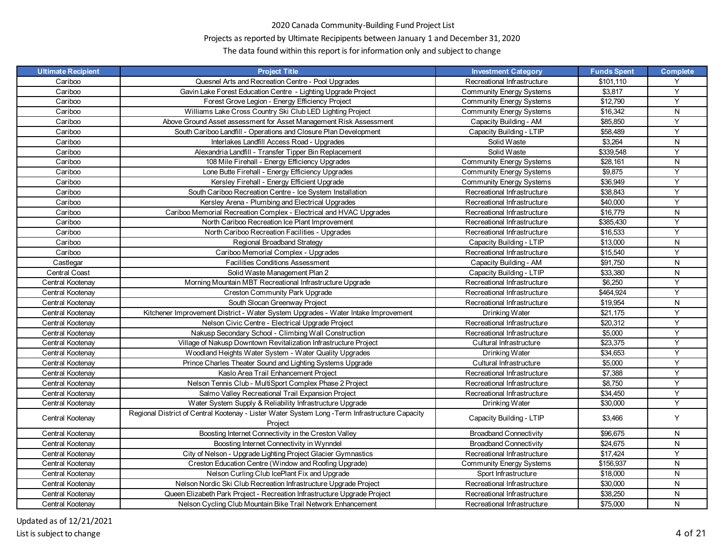# Projects as reported by Ultimate Recipipents between January 1 and December 31, 2020

| <b>Ultimate Recipient</b> | <b>Project Title</b>                                                                            | <b>Investment Category</b>      | <b>Funds Spent</b> | <b>Complete</b> |
|---------------------------|-------------------------------------------------------------------------------------------------|---------------------------------|--------------------|-----------------|
| Cariboo                   | Quesnel Arts and Recreation Centre - Pool Upgrades                                              | Recreational Infrastructure     | \$101,110          | Y               |
| Cariboo                   | Gavin Lake Forest Education Centre - Lighting Upgrade Project                                   | <b>Community Energy Systems</b> | \$3,817            | Υ               |
| Cariboo                   | Forest Grove Legion - Energy Efficiency Project                                                 | <b>Community Energy Systems</b> | \$12,790           | Y               |
| Cariboo                   | Williams Lake Cross Country Ski Club LED Lighting Project                                       | <b>Community Energy Systems</b> | \$16,342           | N               |
| Cariboo                   | Above Ground Asset assessment for Asset Management Risk Assessment                              | Capacity Building - AM          | \$85,850           | Y               |
| Cariboo                   | South Cariboo Landfill - Operations and Closure Plan Development                                | Capacity Building - LTIP        | \$58,489           | Y               |
| Cariboo                   | Interlakes Landfill Access Road - Upgrades                                                      | Solid Waste                     | \$3,264            | ${\sf N}$       |
| Cariboo                   | Alexandria Landfill - Transfer Tipper Bin Replacement                                           | Solid Waste                     | \$339,548          | Y               |
| Cariboo                   | 108 Mile Firehall - Energy Efficiency Upgrades                                                  | <b>Community Energy Systems</b> | \$28,161           | N               |
| Cariboo                   | Lone Butte Firehall - Energy Efficiency Upgrades                                                | <b>Community Energy Systems</b> | \$9,875            | Y               |
| Cariboo                   | Kersley Firehall - Energy Efficient Upgrade                                                     | <b>Community Energy Systems</b> | \$36,949           | Y               |
| Cariboo                   | South Cariboo Recreation Centre - Ice System Installation                                       | Recreational Infrastructure     | \$38,843           | Υ               |
| Cariboo                   | Kersley Arena - Plumbing and Electrical Upgrades                                                | Recreational Infrastructure     | \$40,000           | Y               |
| Cariboo                   | Cariboo Memorial Recreation Complex - Electrical and HVAC Upgrades                              | Recreational Infrastructure     | \$16,779           | N               |
| Cariboo                   | North Cariboo Recreation Ice Plant Improvement                                                  | Recreational Infrastructure     | \$385,430          | Y               |
| Cariboo                   | North Cariboo Recreation Facilities - Upgrades                                                  | Recreational Infrastructure     | \$16,533           | Y               |
| Cariboo                   | Regional Broadband Strategy                                                                     | Capacity Building - LTIP        | \$13,000           | ${\sf N}$       |
| Cariboo                   | Cariboo Memorial Complex - Upgrades                                                             | Recreational Infrastructure     | \$15,540           | Y               |
| Castlegar                 | <b>Facilities Conditions Assessment</b>                                                         | Capacity Building - AM          | \$91,750           | N               |
| <b>Central Coast</b>      | Solid Waste Management Plan 2                                                                   | Capacity Building - LTIP        | \$33,380           | ${\sf N}$       |
| Central Kootenay          | Morning Mountain MBT Recreational Infrastructure Upgrade                                        | Recreational Infrastructure     | \$6,250            | Y               |
| Central Kootenay          | <b>Creston Community Park Upgrade</b>                                                           | Recreational Infrastructure     | \$464,924          | Υ               |
| Central Kootenay          | South Slocan Greenway Project                                                                   | Recreational Infrastructure     | \$19,954           | ${\sf N}$       |
| Central Kootenay          | Kitchener Improvement District - Water System Upgrades - Water Intake Improvement               | Drinking Water                  | \$21,175           | Y               |
| Central Kootenay          | Nelson Civic Centre - Electrical Upgrade Project                                                | Recreational Infrastructure     | \$20,312           | Y               |
| Central Kootenay          | Nakusp Secondary School - Climbing Wall Construction                                            | Recreational Infrastructure     | \$5,000            | Y               |
| Central Kootenay          | Village of Nakusp Downtown Revitalization Infrastructure Project                                | Cultural Infrastructure         | \$23,375           | Y               |
| Central Kootenay          | Woodland Heights Water System - Water Quality Upgrades                                          | Drinking Water                  | \$34,653           | Y               |
| Central Kootenay          | Prince Charles Theater Sound and Lighting Systems Upgrade                                       | Cultural Infrastructure         | \$5,000            | $\overline{Y}$  |
| Central Kootenay          | Kaslo Area Trail Enhancement Project                                                            | Recreational Infrastructure     | \$7,388            | Y               |
| Central Kootenay          | Nelson Tennis Club - MultiSport Complex Phase 2 Project                                         | Recreational Infrastructure     | \$8,750            | Y               |
| Central Kootenay          | Salmo Valley Recreational Trail Expansion Project                                               | Recreational Infrastructure     | \$34,450           | Υ               |
| Central Kootenay          | Water System Supply & Reliability Infrastructure Upgrade                                        | Drinking Water                  | \$30,000           | Y               |
|                           | Regional District of Central Kootenay - Lister Water System Long - Term Infrastructure Capacity |                                 |                    |                 |
| Central Kootenay          | Project                                                                                         | Capacity Building - LTIP        | \$3,466            | Y               |
| Central Kootenay          | Boosting Internet Connectivity in the Creston Valley                                            | <b>Broadband Connectivity</b>   | \$96,675           | N               |
| Central Kootenay          | Boosting Internet Connectivity in Wynndel                                                       | <b>Broadband Connectivity</b>   | \$24,675           | ${\sf N}$       |
| Central Kootenay          | City of Nelson - Upgrade Lighting Project Glacier Gymnastics                                    | Recreational Infrastructure     | \$17,424           | Y               |
| Central Kootenay          | Creston Education Centre (Window and Roofing Upgrade)                                           | <b>Community Energy Systems</b> | \$156,937          | N               |
| Central Kootenay          | Nelson Curling Club IcePlant Fix and Upgrade                                                    | Sport Infrastructure            | \$18,000           | ${\sf N}$       |
| Central Kootenay          | Nelson Nordic Ski Club Recreation Infrastructure Upgrade Project                                | Recreational Infrastructure     | \$30,000           | N               |
| Central Kootenay          | Queen Elizabeth Park Project - Recreation Infrastructure Upgrade Project                        | Recreational Infrastructure     | \$38,250           | ${\sf N}$       |
| Central Kootenay          | Nelson Cycling Club Mountain Bike Trail Network Enhancement                                     | Recreational Infrastructure     | \$75,000           | ${\sf N}$       |
|                           |                                                                                                 |                                 |                    |                 |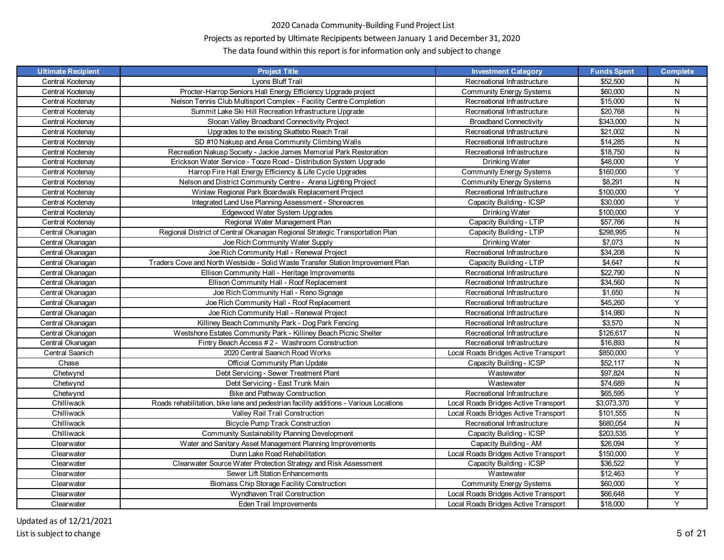# Projects as reported by Ultimate Recipipents between January 1 and December 31, 2020

| <b>Ultimate Recipient</b> | <b>Project Title</b>                                                                  | <b>Investment Category</b>           | <b>Funds Spent</b> | <b>Complete</b> |
|---------------------------|---------------------------------------------------------------------------------------|--------------------------------------|--------------------|-----------------|
| Central Kootenay          | Lyons Bluff Trail                                                                     | Recreational Infrastructure          | \$52,500           | N               |
| Central Kootenay          | Procter-Harrop Seniors Hall Energy Efficiency Upgrade project                         | <b>Community Energy Systems</b>      | \$60,000           | N               |
| Central Kootenay          | Nelson Tennis Club Multisport Complex - Facility Centre Completion                    | Recreational Infrastructure          | \$15,000           | N               |
| Central Kootenay          | Summit Lake Ski Hill Recreation Infrastructure Upgrade                                | Recreational Infrastructure          | \$20,768           | N               |
| Central Kootenay          | Slocan Valley Broadband Connectivity Project                                          | <b>Broadband Connectivity</b>        | \$343,000          | N               |
| Central Kootenay          | Upgrades to the existing Skattebo Reach Trail                                         | Recreational Infrastructure          | \$21,002           | N               |
| Central Kootenay          | SD #10 Nakusp and Area Community Climbing Walls                                       | Recreational Infrastructure          | \$14,285           | N               |
| Central Kootenay          | Recreation Nakusp Society - Jackie James Memorial Park Restoration                    | Recreational Infrastructure          | \$18,750           | N               |
| Central Kootenay          | Erickson Water Service - Tooze Road - Distribution System Upgrade                     | Drinking Water                       | \$48,000           | Y               |
| Central Kootenay          | Harrop Fire Hall Energy Efficiency & Life Cycle Upgrades                              | <b>Community Energy Systems</b>      | \$160,000          | Y               |
| Central Kootenay          | Nelson and District Community Centre - Arena Lighting Project                         | <b>Community Energy Systems</b>      | \$8,291            | N               |
| Central Kootenay          | Winlaw Regional Park Boardwalk Replacement Project                                    | Recreational Infrastructure          | \$100,000          | Y               |
| Central Kootenay          | Integrated Land Use Planning Assessment - Shoreacres                                  | Capacity Building - ICSP             | \$30,000           | Y               |
| Central Kootenay          | Edgewood Water System Upgrades                                                        | Drinking Water                       | \$100,000          | Y               |
| Central Kootenay          | Regional Water Management Plan                                                        | Capacity Building - LTIP             | \$57,766           | N               |
| Central Okanagan          | Regional District of Central Okanagan Regional Strategic Transportation Plan          | Capacity Building - LTIP             | \$298,995          | N               |
| Central Okanagan          | Joe Rich Community Water Supply                                                       | Drinking Water                       | \$7,073            | ${\sf N}$       |
| Central Okanagan          | Joe Rich Community Hall - Renewal Project                                             | Recreational Infrastructure          | \$34,208           | N               |
| Central Okanagan          | Traders Cove and North Westside - Solid Waste Transfer Station Improvement Plan       | Capacity Building - LTIP             | \$4,647            | N               |
| Central Okanagan          | Ellison Community Hall - Heritage Improvements                                        | Recreational Infrastructure          | \$22,790           | N               |
| Central Okanagan          | Ellison Community Hall - Roof Replacement                                             | Recreational Infrastructure          | \$34,560           | N               |
| Central Okanagan          | Joe Rich Community Hall - Reno Signage                                                | Recreational Infrastructure          | \$1,650            | N               |
| Central Okanagan          | Joe Rich Community Hall - Roof Replacement                                            | Recreational Infrastructure          | \$45,260           | Y               |
| Central Okanagan          | Joe Rich Community Hall - Renewal Project                                             | Recreational Infrastructure          | \$14,980           | N               |
| Central Okanagan          | Killiney Beach Community Park - Dog Park Fencing                                      | Recreational Infrastructure          | \$3,570            | N               |
| Central Okanagan          | Westshore Estates Community Park - Killiney Beach Picnic Shelter                      | Recreational Infrastructure          | \$126,617          | N               |
| Central Okanagan          | Fintry Beach Access #2 - Washroom Construction                                        | Recreational Infrastructure          | \$16,893           | N               |
| Central Saanich           | 2020 Central Saanich Road Works                                                       | Local Roads Bridges Active Transport | \$850,000          | Υ               |
| Chase                     | Official Community Plan Update                                                        | Capacity Building - ICSP             | \$52,117           | ${\sf N}$       |
| Chetwynd                  | Debt Servicing - Sewer Treatment Plant                                                | Wastewater                           | \$97,824           | N               |
| Chetwynd                  | Debt Servicing - East Trunk Main                                                      | Wastewater                           | \$74,689           | N               |
| Chetwynd                  | <b>Bike and Pathway Construction</b>                                                  | Recreational Infrastructure          | \$65,595           | Y               |
| Chilliwack                | Roads rehabilitation, bike lane and pedestrian facility additions - Various Locations | Local Roads Bridges Active Transport | \$3,073,370        | Y               |
| Chilliwack                | Valley Rail Trail Construction                                                        | Local Roads Bridges Active Transport | \$101,555          | N               |
| Chilliwack                | <b>Bicycle Pump Track Construction</b>                                                | Recreational Infrastructure          | \$680,054          | N               |
| Chilliwack                | Community Sustainability Planning Development                                         | Capacity Building - ICSP             | \$203,535          | Υ               |
| Clearwater                | Water and Sanitary Asset Management Planning Improvements                             | Capacity Building - AM               | \$26,094           | Y               |
| Clearwater                | Dunn Lake Road Rehabilitation                                                         | Local Roads Bridges Active Transport | \$150,000          | Y               |
| Clearwater                | Clearwater Source Water Protection Strategy and Risk Assessment                       | Capacity Building - ICSP             | \$36,522           | Y               |
| Clearwater                | Sewer Lift Station Enhancements                                                       | Wastewater                           | \$12,463           | Y               |
| Clearwater                | Biomass Chip Storage Facility Construction                                            | <b>Community Energy Systems</b>      | \$60,000           | Y               |
| Clearwater                | Wyndhaven Trail Construction                                                          | Local Roads Bridges Active Transport | \$66,648           | Y               |
| Clearwater                | Eden Trail Improvements                                                               | Local Roads Bridges Active Transport | \$18,000           | Y               |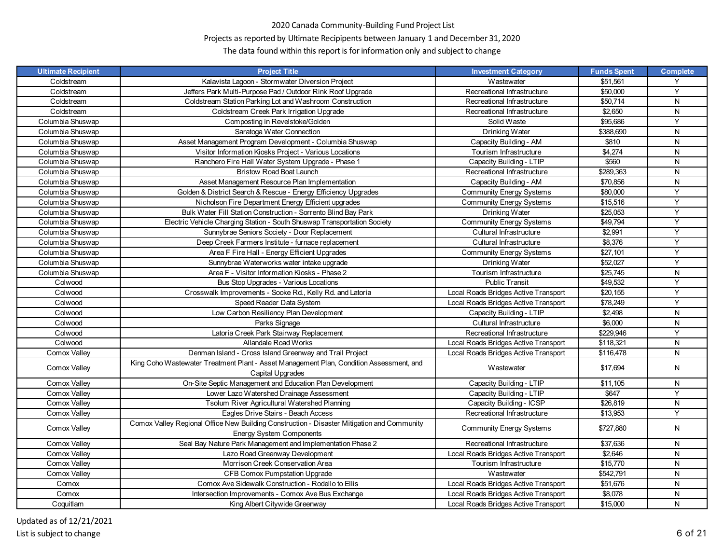# Projects as reported by Ultimate Recipipents between January 1 and December 31, 2020

| <b>Ultimate Recipient</b> | <b>Project Title</b>                                                                                        | <b>Investment Category</b>           | <b>Funds Spent</b>   | <b>Complete</b> |
|---------------------------|-------------------------------------------------------------------------------------------------------------|--------------------------------------|----------------------|-----------------|
| Coldstream                | Kalavista Lagoon - Stormwater Diversion Project                                                             | Wastewater                           | \$51,561             | Y               |
| Coldstream                | Jeffers Park Multi-Purpose Pad / Outdoor Rink Roof Upgrade                                                  | Recreational Infrastructure          | \$50,000             | Y               |
| Coldstream                | Coldstream Station Parking Lot and Washroom Construction                                                    | Recreational Infrastructure          | \$50,714             | N               |
| Coldstream                | Coldstream Creek Park Irrigation Upgrade                                                                    | Recreational Infrastructure          | \$2,650              | N               |
| Columbia Shuswap          | Composting in Revelstoke/Golden                                                                             | Solid Waste                          | \$95,686             | Y               |
| Columbia Shuswap          | Saratoga Water Connection                                                                                   | Drinking Water                       | \$388.690            | N               |
| Columbia Shuswap          | Asset Management Program Development - Columbia Shuswap                                                     | Capacity Building - AM               | \$810                | N               |
| Columbia Shuswap          | Visitor Information Kiosks Project - Various Locations                                                      | Tourism Infrastructure               | \$4,274              | N               |
| Columbia Shuswap          | Ranchero Fire Hall Water System Upgrade - Phase 1                                                           | Capacity Building - LTIP             | \$560                | N               |
| Columbia Shuswap          | <b>Bristow Road Boat Launch</b>                                                                             | Recreational Infrastructure          | \$289,363            | N               |
| Columbia Shuswap          | Asset Management Resource Plan Implementation                                                               | Capacity Building - AM               | \$70.856             | N               |
| Columbia Shuswap          | Golden & District Search & Rescue - Energy Efficiency Upgrades                                              | <b>Community Energy Systems</b>      | \$80,000             | Y               |
| Columbia Shuswap          | Nicholson Fire Department Energy Efficient upgrades                                                         | <b>Community Energy Systems</b>      | \$15,516             | Y               |
| Columbia Shuswap          | Bulk Water Fill Station Construction - Sorrento Blind Bay Park                                              | Drinking Water                       | \$25,053             | Y               |
| Columbia Shuswap          | Electric Vehicle Charging Station - South Shuswap Transportation Society                                    | <b>Community Energy Systems</b>      | \$49,794             | Y               |
| Columbia Shuswap          | Sunnybrae Seniors Society - Door Replacement                                                                | Cultural Infrastructure              | \$2,991              | Y               |
| Columbia Shuswap          | Deep Creek Farmers Institute - furnace replacement                                                          | Cultural Infrastructure              | \$8,376              | Y               |
| Columbia Shuswap          | Area F Fire Hall - Energy Efficient Upgrades                                                                | <b>Community Energy Systems</b>      | $\overline{$27,101}$ | Y               |
| Columbia Shuswap          | Sunnybrae Waterworks water intake upgrade                                                                   | Drinking Water                       | \$52,027             | Y               |
| Columbia Shuswap          | Area F - Visitor Information Kiosks - Phase 2                                                               | Tourism Infrastructure               | \$25,745             | N               |
| Colwood                   | Bus Stop Upgrades - Various Locations                                                                       | <b>Public Transit</b>                | \$49.532             | Y               |
| Colwood                   | Crosswalk Improvements - Sooke Rd., Kelly Rd. and Latoria                                                   | Local Roads Bridges Active Transport | \$20,155             | Y               |
| Colwood                   | Speed Reader Data System                                                                                    | Local Roads Bridges Active Transport | \$78.249             | Y               |
| Colwood                   | Low Carbon Resiliency Plan Development                                                                      | Capacity Building - LTIP             | \$2,498              | ${\sf N}$       |
| Colwood                   | Parks Signage                                                                                               | Cultural Infrastructure              | \$6,000              | ${\sf N}$       |
| Colwood                   | Latoria Creek Park Stairway Replacement                                                                     | Recreational Infrastructure          | \$229,946            | Y               |
| Colwood                   | Allandale Road Works                                                                                        | Local Roads Bridges Active Transport | \$118,321            | N               |
| Comox Valley              | Denman Island - Cross Island Greenway and Trail Project                                                     | Local Roads Bridges Active Transport | \$116,478            | N               |
| Comox Valley              | King Coho Wastewater Treatment Plant - Asset Management Plan, Condition Assessment, and<br>Capital Upgrades | Wastewater                           | \$17,694             | N               |
| Comox Valley              | On-Site Septic Management and Education Plan Development                                                    | Capacity Building - LTIP             | \$11,105             | N               |
| Comox Valley              | Lower Lazo Watershed Drainage Assessment                                                                    | Capacity Building - LTIP             | \$647                | Y               |
| Comox Valley              | Tsolum River Agricultural Watershed Planning                                                                | Capacity Building - ICSP             | \$26,819             | N               |
| Comox Valley              | Eagles Drive Stairs - Beach Access                                                                          | Recreational Infrastructure          | \$13,953             | Y               |
|                           | Comox Valley Regional Office New Building Construction - Disaster Mitigation and Community                  |                                      |                      |                 |
| Comox Valley              | <b>Energy System Components</b>                                                                             | <b>Community Energy Systems</b>      | \$727,880            | N               |
| Comox Valley              | Seal Bay Nature Park Management and Implementation Phase 2                                                  | Recreational Infrastructure          | \$37,636             | N               |
| Comox Valley              | Lazo Road Greenway Development                                                                              | Local Roads Bridges Active Transport | \$2,646              | N               |
| Comox Valley              | Morrison Creek Conservation Area                                                                            | Tourism Infrastructure               | \$15,770             | N               |
| Comox Valley              | <b>CFB Comox Pumpstation Upgrade</b>                                                                        | Wastewater                           | \$542,791            | N               |
| Comox                     | Comox Ave Sidewalk Construction - Rodello to Ellis                                                          | Local Roads Bridges Active Transport | \$51,676             | N               |
| Comox                     | Intersection Improvements - Comox Ave Bus Exchange                                                          | Local Roads Bridges Active Transport | \$8,078              | N               |
| Coquitlam                 | King Albert Citywide Greenway                                                                               | Local Roads Bridges Active Transport | \$15,000             | N               |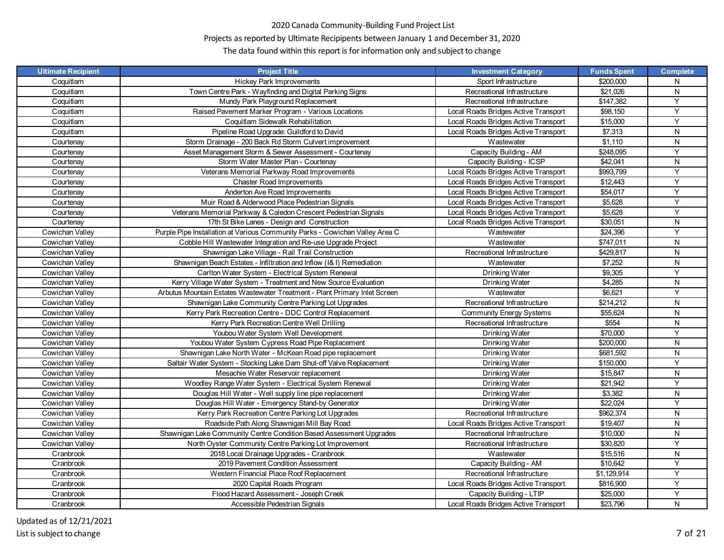# Projects as reported by Ultimate Recipipents between January 1 and December 31, 2020

| <b>Ultimate Recipient</b> | <b>Project Title</b>                                                         | <b>Investment Category</b>           | <b>Funds Spent</b>   | <b>Complete</b> |
|---------------------------|------------------------------------------------------------------------------|--------------------------------------|----------------------|-----------------|
| Coquitlam                 | <b>Hickey Park Improvements</b>                                              | Sport Infrastructure                 | \$200,000            | N               |
| Coquitlam                 | Town Centre Park - Wayfinding and Digital Parking Signs                      | Recreational Infrastructure          | \$21,026             | N               |
| Coquitlam                 | Mundy Park Playground Replacement                                            | Recreational Infrastructure          | \$147,382            | Y               |
| Coquitlam                 | Raised Pavement Marker Program - Various Locations                           | Local Roads Bridges Active Transport | \$98,150             | Y               |
| Coquitlam                 | Coquitlam Sidewalk Rehabilitation                                            | Local Roads Bridges Active Transport | \$15,000             | Y               |
| Coquitlam                 | Pipeline Road Upgrade: Guildford to David                                    | Local Roads Bridges Active Transport | \$7,313              | N               |
| Courtenay                 | Storm Drainage - 200 Back Rd Storm Culvert improvement                       | Wastewater                           | \$1,110              | N               |
| Courtenay                 | Asset Management Storm & Sewer Assessment - Courtenay                        | Capacity Building - AM               | \$248,095            | Y               |
| Courtenay                 | Storm Water Master Plan - Courtenay                                          | Capacity Building - ICSP             | \$42,041             | N               |
| Courtenay                 | Veterans Memorial Parkway Road Improvements                                  | Local Roads Bridges Active Transport | \$993,799            | Y               |
| Courtenay                 | <b>Chaster Road Improvements</b>                                             | Local Roads Bridges Active Transport | \$12,443             | Y               |
| Courtenay                 | Anderton Ave Road Improvements                                               | Local Roads Bridges Active Transport | \$54,017             | Y               |
| Courtenay                 | Muir Road & Alderwood Place Pedestrian Signals                               | Local Roads Bridges Active Transport | \$5,628              | Y               |
| Courtenay                 | Veterans Memorial Parkway & Caledon Crescent Pedestrian Signals              | Local Roads Bridges Active Transport | \$5.628              | Y               |
| Courtenay                 | 17th St Bike Lanes - Design and Construction                                 | Local Roads Bridges Active Transport | \$30,051             | N               |
| Cowichan Valley           | Purple Pipe Installation at Various Community Parks - Cowichan Valley Area C | Wastewater                           | \$24,396             | Y               |
| Cowichan Valley           | Cobble Hill Wastewater Integration and Re-use Upgrade Project                | Wastewater                           | \$747,011            | N               |
| Cowichan Valley           | Shawnigan Lake Village - Rail Trail Construction                             | Recreational Infrastructure          | \$429,817            | N               |
| Cowichan Valley           | Shawnigan Beach Estates - Infiltration and Inflow (I& I) Remediation         | Wastewater                           | \$7,252              | N               |
| Cowichan Valley           | Carlton Water System - Electrical System Renewal                             | Drinking Water                       | \$9,305              | Y               |
| Cowichan Valley           | Kerry Village Water System - Treatment and New Source Evaluation             | Drinking Water                       | \$4,285              | N               |
| Cowichan Valley           | Arbutus Mountain Estates Wastewater Treatment - Plant Primary Inlet Screen   | Wastewater                           | \$6,621              | Υ               |
| Cowichan Valley           | Shawnigan Lake Community Centre Parking Lot Upgrades                         | Recreational Infrastructure          | \$214,212            | ${\sf N}$       |
| Cowichan Valley           | Kerry Park Recreation Centre - DDC Control Replacement                       | <b>Community Energy Systems</b>      | \$55,624             | N               |
| Cowichan Valley           | Kerry Park Recreation Centre Well Drilling                                   | Recreational Infrastructure          | \$554                | N               |
| Cowichan Valley           | Youbou Water System Well Development                                         | Drinking Water                       | \$70,000             | Y               |
| Cowichan Valley           | Youbou Water System Cypress Road Pipe Replacement                            | Drinking Water                       | \$200,000            | N               |
| Cowichan Valley           | Shawnigan Lake North Water - McKean Road pipe replacement                    | Drinking Water                       | \$681,592            | N               |
| Cowichan Valley           | Saltair Water System - Stocking Lake Dam Shut-off Valve Replacement          | Drinking Water                       | \$150,000            | Υ               |
| Cowichan Valley           | Mesachie Water Reservoir replacement                                         | Drinking Water                       | \$15,847             | N               |
| Cowichan Valley           | Woodley Range Water System - Electrical System Renewal                       | Drinking Water                       | \$21,942             | Y               |
| Cowichan Valley           | Douglas Hill Water - Well supply line pipe replacement                       | Drinking Water                       | \$3,382              | N               |
| Cowichan Valley           | Douglas Hill Water - Emergency Stand-by Generator                            | Drinking Water                       | $\overline{$}22,024$ | Y               |
| Cowichan Valley           | Kerry Park Recreation Centre Parking Lot Upgrades                            | Recreational Infrastructure          | \$962.374            | N               |
| Cowichan Valley           | Roadside Path Along Shawnigan Mill Bay Road                                  | Local Roads Bridges Active Transport | \$19,407             | N               |
| Cowichan Valley           | Shawnigan Lake Community Centre Condition Based Assessment Upgrades          | Recreational Infrastructure          | \$10,000             | N               |
| Cowichan Valley           | North Oyster Community Centre Parking Lot Improvement                        | Recreational Infrastructure          | \$30,820             | Y               |
| Cranbrook                 | 2018 Local Drainage Upgrades - Cranbrook                                     | Wastewater                           | \$15,516             | N               |
| Cranbrook                 | 2019 Pavement Condition Assessment                                           | Capacity Building - AM               | \$10,642             | Υ               |
| Cranbrook                 | Western Financial Place Roof Replacement                                     | Recreational Infrastructure          | \$1,129,914          | Y               |
| Cranbrook                 | 2020 Capital Roads Program                                                   | Local Roads Bridges Active Transport | \$816,900            | Υ               |
| Cranbrook                 | Flood Hazard Assessment - Joseph Creek                                       | Capacity Building - LTIP             | \$25,000             | Y               |
| Cranbrook                 | Accessible Pedestrian Signals                                                | Local Roads Bridges Active Transport | \$23,796             | N               |
|                           |                                                                              |                                      |                      |                 |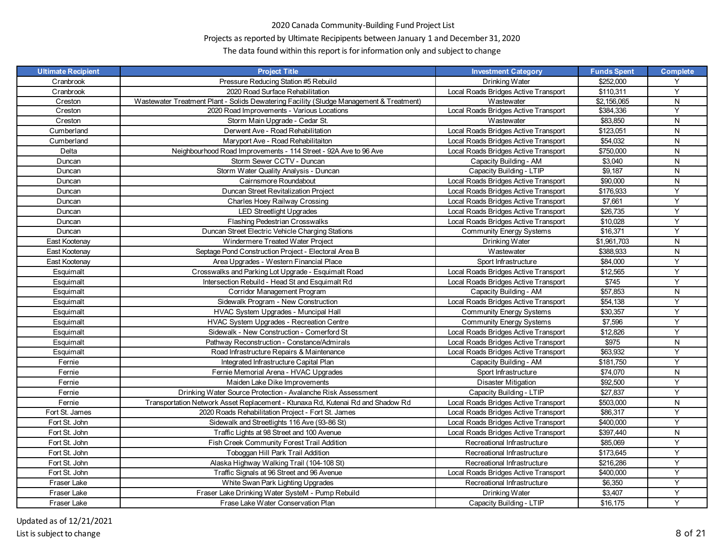# Projects as reported by Ultimate Recipipents between January 1 and December 31, 2020

| <b>Ultimate Recipient</b> | <b>Project Title</b>                                                                    | <b>Investment Category</b>           | <b>Funds Spent</b> | <b>Complete</b> |
|---------------------------|-----------------------------------------------------------------------------------------|--------------------------------------|--------------------|-----------------|
| Cranbrook                 | Pressure Reducing Station #5 Rebuild                                                    | Drinking Water                       | \$252,000          | Y               |
| Cranbrook                 | 2020 Road Surface Rehabilitation                                                        | Local Roads Bridges Active Transport | \$110.311          | Y               |
| Creston                   | Wastewater Treatment Plant - Solids Dewatering Facility (Sludge Management & Treatment) | Wastewater                           | \$2,156,065        | $\mathsf{N}$    |
| Creston                   | 2020 Road Improvements - Various Locations                                              | Local Roads Bridges Active Transport | \$384,336          | Y               |
| Creston                   | Storm Main Upgrade - Cedar St.                                                          | Wastewater                           | \$83,850           | N               |
| Cumberland                | Derwent Ave - Road Rehabilitation                                                       | Local Roads Bridges Active Transport | \$123,051          | N               |
| Cumberland                | Maryport Ave - Road Rehabilitaiton                                                      | Local Roads Bridges Active Transport | \$54,032           | ${\sf N}$       |
| Delta                     | Neighbourhood Road Improvements - 114 Street - 92A Ave to 96 Ave                        | Local Roads Bridges Active Transport | \$750,000          | N               |
| Duncan                    | Storm Sewer CCTV - Duncan                                                               | Capacity Building - AM               | \$3,040            | ${\sf N}$       |
| Duncan                    | Storm Water Quality Analysis - Duncan                                                   | Capacity Building - LTIP             | \$9,187            | N               |
| Duncan                    | Cairnsmore Roundabout                                                                   | Local Roads Bridges Active Transport | \$90,000           | N               |
| Duncan                    | Duncan Street Revitalization Project                                                    | Local Roads Bridges Active Transport | \$176,933          | Y               |
| Duncan                    | Charles Hoey Railway Crossing                                                           | Local Roads Bridges Active Transport | \$7,661            | Y               |
| Duncan                    | <b>LED Streetlight Upgrades</b>                                                         | Local Roads Bridges Active Transport | \$26,735           | Y               |
| Duncan                    | <b>Flashing Pedestrian Crosswalks</b>                                                   | Local Roads Bridges Active Transport | \$10,028           | Y               |
| Duncan                    | Duncan Street Electric Vehicle Charging Stations                                        | <b>Community Energy Systems</b>      | \$16,371           | Y               |
| East Kootenay             | Windermere Treated Water Project                                                        | Drinking Water                       | \$1,961,703        | N               |
| East Kootenay             | Septage Pond Construction Project - Electoral Area B                                    | Wastewater                           | \$388,933          | N               |
| East Kootenay             | Area Upgrades - Western Financial Place                                                 | Sport Infrastructure                 | \$84,000           | Y               |
| Esquimalt                 | Crosswalks and Parking Lot Upgrade - Esquimalt Road                                     | Local Roads Bridges Active Transport | \$12,565           | Y               |
| Esquimalt                 | Intersection Rebuild - Head St and Esquimalt Rd                                         | Local Roads Bridges Active Transport | \$745              | Y               |
| Esquimalt                 | Corridor Management Program                                                             | Capacity Building - AM               | \$57,853           | ${\sf N}$       |
| Esquimalt                 | Sidewalk Program - New Construction                                                     | Local Roads Bridges Active Transport | \$54,138           | Y               |
| Esquimalt                 | HVAC System Upgrades - Muncipal Hall                                                    | <b>Community Energy Systems</b>      | \$30,357           | Y               |
| Esquimalt                 | HVAC System Upgrades - Recreation Centre                                                | <b>Community Energy Systems</b>      | \$7,596            | Y               |
| Esquimalt                 | Sidewalk - New Construction - Comerford St                                              | Local Roads Bridges Active Transport | \$12,826           | Y               |
| Esquimalt                 | Pathway Reconstruction - Constance/Admirals                                             | Local Roads Bridges Active Transport | \$975              | N               |
| Esquimalt                 | Road Infrastructure Repairs & Maintenance                                               | Local Roads Bridges Active Transport | \$63,932           | Y               |
| Fernie                    | Integrated Infrastructure Capital Plan                                                  | Capacity Building - AM               | \$181,750          | Y               |
| Fernie                    | Fernie Memorial Arena - HVAC Upgrades                                                   | Sport Infrastructure                 | \$74,070           | N               |
| Fernie                    | Maiden Lake Dike Improvements                                                           | Disaster Mitigation                  | \$92,500           | Y               |
| Fernie                    | Drinking Water Source Protection - Avalanche Risk Assessment                            | Capacity Building - LTIP             | \$27,837           | Y               |
| Fernie                    | Transportation Network Asset Replacement - Ktunaxa Rd, Kutenai Rd and Shadow Rd         | Local Roads Bridges Active Transport | \$503,000          | N               |
| Fort St. James            | 2020 Roads Rehabilitation Project - Fort St. James                                      | Local Roads Bridges Active Transport | \$86.317           | Y               |
| Fort St. John             | Sidewalk and Streetlights 116 Ave (93-86 St)                                            | Local Roads Bridges Active Transport | \$400,000          | Y               |
| Fort St. John             | Traffic Lights at 98 Street and 100 Avenue                                              | Local Roads Bridges Active Transport | \$397,440          | ${\sf N}$       |
| Fort St. John             | Fish Creek Community Forest Trail Addition                                              | Recreational Infrastructure          | \$85,069           | Y               |
| Fort St. John             | Toboggan Hill Park Trail Addition                                                       | Recreational Infrastructure          | \$173,645          | Υ               |
| Fort St. John             | Alaska Highway Walking Trail (104-108 St)                                               | Recreational Infrastructure          | \$216,286          | Y               |
| Fort St. John             | Traffic Signals at 96 Street and 96 Avenue                                              | Local Roads Bridges Active Transport | \$400,000          | Y               |
| Fraser Lake               | White Swan Park Lighting Upgrades                                                       | Recreational Infrastructure          | \$6,350            | Y               |
| Fraser Lake               | Fraser Lake Drinking Water SysteM - Pump Rebuild                                        | Drinking Water                       | \$3,407            | Y               |
| Fraser Lake               | Frase Lake Water Conservation Plan                                                      | Capacity Building - LTIP             | \$16,175           | Y               |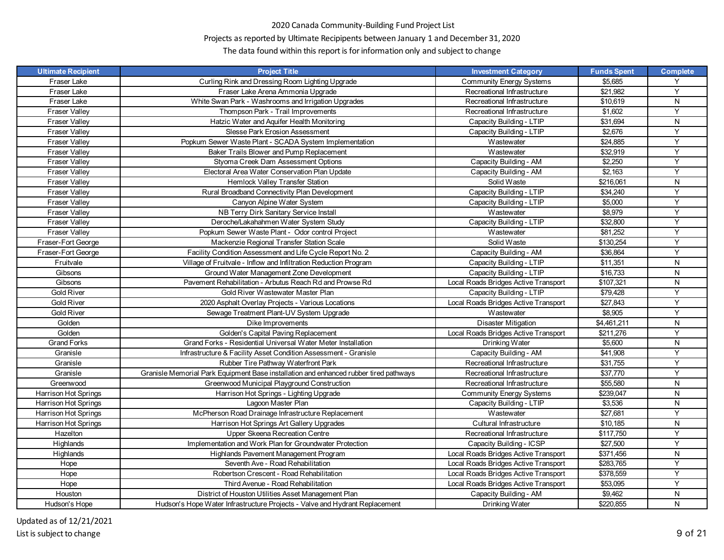# Projects as reported by Ultimate Recipipents between January 1 and December 31, 2020

| <b>Ultimate Recipient</b> | <b>Project Title</b>                                                                  | <b>Investment Category</b>           | <b>Funds Spent</b> | <b>Complete</b> |
|---------------------------|---------------------------------------------------------------------------------------|--------------------------------------|--------------------|-----------------|
| Fraser Lake               | Curling Rink and Dressing Room Lighting Upgrade                                       | <b>Community Energy Systems</b>      | \$5,685            | Y               |
| Fraser Lake               | Fraser Lake Arena Ammonia Upgrade                                                     | Recreational Infrastructure          | \$21,982           | Y               |
| Fraser Lake               | White Swan Park - Washrooms and Irrigation Upgrades                                   | Recreational Infrastructure          | \$10,619           | N               |
| <b>Fraser Valley</b>      | Thompson Park - Trail Improvements                                                    | Recreational Infrastructure          | \$1,602            | Y               |
| <b>Fraser Valley</b>      | Hatzic Water and Aquifer Health Monitoring                                            | Capacity Building - LTIP             | \$31,694           | N               |
| <b>Fraser Valley</b>      | Slesse Park Erosion Assessment                                                        | Capacity Building - LTIP             | \$2,676            | Y               |
| <b>Fraser Valley</b>      | Popkum Sewer Waste Plant - SCADA System Implementation                                | Wastewater                           | \$24,885           | Y               |
| <b>Fraser Valley</b>      | Baker Trails Blower and Pump Replacement                                              | Wastewater                           | \$32,919           | Y               |
| <b>Fraser Valley</b>      | Styoma Creek Dam Assessment Options                                                   | Capacity Building - AM               | \$2,250            | Y               |
| <b>Fraser Valley</b>      | Electoral Area Water Conservation Plan Update                                         | Capacity Building - AM               | \$2,163            | Y               |
| <b>Fraser Valley</b>      | Hemlock Valley Transfer Station                                                       | Solid Waste                          | \$216,061          | N               |
| <b>Fraser Valley</b>      | Rural Broadband Connectivity Plan Development                                         | Capacity Building - LTIP             | \$34,240           | Y               |
| <b>Fraser Valley</b>      | Canyon Alpine Water System                                                            | Capacity Building - LTIP             | \$5,000            | Y               |
| <b>Fraser Valley</b>      | NB Terry Dirk Sanitary Service Install                                                | Wastewater                           | \$8,979            | Y               |
| <b>Fraser Valley</b>      | Deroche/Lakahahmen Water System Study                                                 | Capacity Building - LTIP             | \$32,800           | Y               |
| <b>Fraser Valley</b>      | Popkum Sewer Waste Plant - Odor control Project                                       | Wastewater                           | \$81,252           | Y               |
| Fraser-Fort George        | Mackenzie Regional Transfer Station Scale                                             | Solid Waste                          | \$130,254          | Y               |
| Fraser-Fort George        | Facility Condition Assessment and Life Cycle Report No. 2                             | Capacity Building - AM               | \$36,864           | Y               |
| Fruitvale                 | Village of Fruitvale - Inflow and Infiltration Reduction Program                      | Capacity Building - LTIP             | \$11,351           | N               |
| Gibsons                   | Ground Water Management Zone Development                                              | Capacity Building - LTIP             | \$16,733           | N               |
| Gibsons                   | Pavement Rehabilitation - Arbutus Reach Rd and Prowse Rd                              | Local Roads Bridges Active Transport | \$107,321          | N               |
| <b>Gold River</b>         | Gold River Wastewater Master Plan                                                     | Capacity Building - LTIP             | \$79,428           | Y               |
| <b>Gold River</b>         | 2020 Asphalt Overlay Projects - Various Locations                                     | Local Roads Bridges Active Transport | \$27,843           | Y               |
| <b>Gold River</b>         | Sewage Treatment Plant-UV System Upgrade                                              | Wastewater                           | \$8,905            | Y               |
| Golden                    | Dike Improvements                                                                     | Disaster Mitigation                  | \$4,461,211        | N               |
| Golden                    | Golden's Capital Paving Replacement                                                   | Local Roads Bridges Active Transport | \$211,276          | Y               |
| <b>Grand Forks</b>        | Grand Forks - Residential Universal Water Meter Installation                          | Drinking Water                       | \$5,600            | N               |
| Granisle                  | Infrastructure & Facility Asset Condition Assessment - Granisle                       | Capacity Building - AM               | \$41,908           | Y               |
| Granisle                  | Rubber Tire Pathway Waterfront Park                                                   | Recreational Infrastructure          | \$31,755           | Y               |
| Granisle                  | Granisle Memorial Park Equipment Base installation and enhanced rubber tired pathways | Recreational Infrastructure          | \$37,770           | Y               |
| Greenwood                 | Greenwood Municipal Playground Construction                                           | Recreational Infrastructure          | \$55,580           | N               |
| Harrison Hot Springs      | Harrison Hot Springs - Lighting Upgrade                                               | <b>Community Energy Systems</b>      | \$239,047          | N               |
| Harrison Hot Springs      | Lagoon Master Plan                                                                    | Capacity Building - LTIP             | \$3,536            | N               |
| Harrison Hot Springs      | McPherson Road Drainage Infrastructure Replacement                                    | Wastewater                           | \$27,681           | Y               |
| Harrison Hot Springs      | Harrison Hot Springs Art Gallery Upgrades                                             | Cultural Infrastructure              | \$10,185           | N               |
| Hazelton                  | Upper Skeena Recreation Centre                                                        | Recreational Infrastructure          | \$117,750          | Y               |
| Highlands                 | Implementation and Work Plan for Groundwater Protection                               | Capacity Building - ICSP             | \$27,500           | Y               |
| Highlands                 | Highlands Pavement Management Program                                                 | Local Roads Bridges Active Transport | \$371,456          | N               |
| Hope                      | Seventh Ave - Road Rehabilitation                                                     | Local Roads Bridges Active Transport | \$283,765          | Y               |
| Hope                      | Robertson Crescent - Road Rehabilitation                                              | Local Roads Bridges Active Transport | \$378,559          | Y               |
| Hope                      | Third Avenue - Road Rehabilitation                                                    | Local Roads Bridges Active Transport | \$53,095           | Y               |
| Houston                   | District of Houston Utilities Asset Management Plan                                   | Capacity Building - AM               | \$9,462            | N               |
| Hudson's Hope             | Hudson's Hope Water Infrastructure Projects - Valve and Hydrant Replacement           | Drinking Water                       | \$220,855          | N               |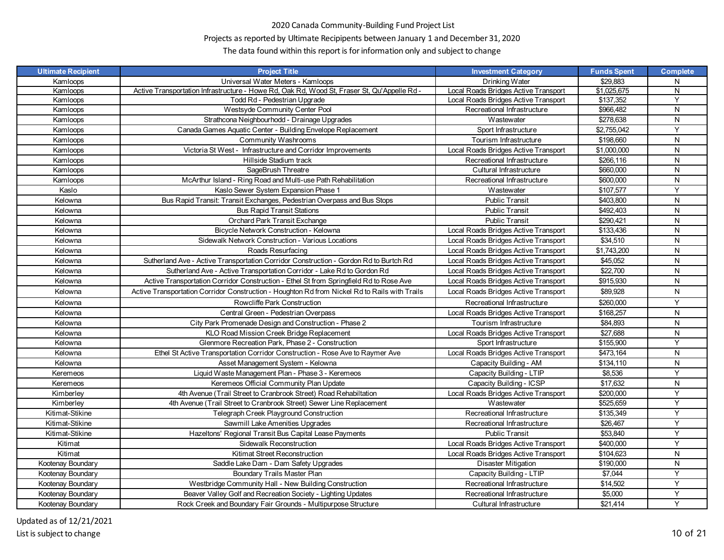# Projects as reported by Ultimate Recipipents between January 1 and December 31, 2020

| <b>Ultimate Recipient</b> | <b>Project Title</b>                                                                          | <b>Investment Category</b>           | <b>Funds Spent</b> | <b>Complete</b> |
|---------------------------|-----------------------------------------------------------------------------------------------|--------------------------------------|--------------------|-----------------|
| Kamloops                  | Universal Water Meters - Kamloops                                                             | Drinking Water                       | \$29.883           | N               |
| Kamloops                  | Active Transportation Infrastructure - Howe Rd, Oak Rd, Wood St, Fraser St, Qu'Appelle Rd -   | Local Roads Bridges Active Transport | \$1,025,675        | N               |
| Kamloops                  | Todd Rd - Pedestrian Upgrade                                                                  | Local Roads Bridges Active Transport | \$137,352          | Y               |
| Kamloops                  | Westsyde Community Center Pool                                                                | Recreational Infrastructure          | \$966,482          | N               |
| Kamloops                  | Strathcona Neighbourhodd - Drainage Upgrades                                                  | Wastewater                           | \$278,638          | N               |
| Kamloops                  | Canada Games Aquatic Center - Building Envelope Replacement                                   | Sport Infrastructure                 | \$2,755,042        | Y               |
| Kamloops                  | Community Washrooms                                                                           | Tourism Infrastructure               | \$198,660          | N               |
| Kamloops                  | Victoria St West - Infrastructure and Corridor Improvements                                   | Local Roads Bridges Active Transport | \$1,000,000        | N               |
| Kamloops                  | Hillside Stadium track                                                                        | Recreational Infrastructure          | \$266,116          | N               |
| Kamloops                  | SageBrush Threatre                                                                            | Cultural Infrastructure              | \$660,000          | N               |
| Kamloops                  | McArthur Island - Ring Road and Multi-use Path Rehabilitation                                 | Recreational Infrastructure          | \$600,000          | N               |
| Kaslo                     | Kaslo Sewer System Expansion Phase 1                                                          | Wastewater                           | \$107,577          | Y               |
| Kelowna                   | Bus Rapid Transit: Transit Exchanges, Pedestrian Overpass and Bus Stops                       | <b>Public Transit</b>                | \$403,800          | N               |
| Kelowna                   | <b>Bus Rapid Transit Stations</b>                                                             | <b>Public Transit</b>                | \$492,403          | N               |
| Kelowna                   | Orchard Park Transit Exchange                                                                 | <b>Public Transit</b>                | \$290,421          | N               |
| Kelowna                   | Bicycle Network Construction - Kelowna                                                        | Local Roads Bridges Active Transport | \$133,436          | N               |
| Kelowna                   | Sidewalk Network Construction - Various Locations                                             | Local Roads Bridges Active Transport | \$34,510           | N               |
| Kelowna                   | Roads Resurfacing                                                                             | Local Roads Bridges Active Transport | \$1,743,200        | N               |
| Kelowna                   | Sutherland Ave - Active Transportation Corridor Construction - Gordon Rd to Burtch Rd         | Local Roads Bridges Active Transport | \$45,052           | N               |
| Kelowna                   | Sutherland Ave - Active Transportation Corridor - Lake Rd to Gordon Rd                        | Local Roads Bridges Active Transport | \$22,700           | N               |
| Kelowna                   | Active Transportation Corridor Construction - Ethel St from Springfield Rd to Rose Ave        | Local Roads Bridges Active Transport | \$915,930          | N               |
| Kelowna                   | Active Transportation Corridor Construction - Houghton Rd from Nickel Rd to Rails with Trails | Local Roads Bridges Active Transport | \$89,928           | N               |
| Kelowna                   | Rowcliffe Park Construction                                                                   | Recreational Infrastructure          | \$260.000          | Y               |
| Kelowna                   | Central Green - Pedestrian Overpass                                                           | Local Roads Bridges Active Transport | \$168,257          | N               |
| Kelowna                   | City Park Promenade Design and Construction - Phase 2                                         | Tourism Infrastructure               | \$84,893           | N               |
| Kelowna                   | KLO Road Mission Creek Bridge Replacement                                                     | Local Roads Bridges Active Transport | \$27,688           | N               |
| Kelowna                   | Glenmore Recreation Park, Phase 2 - Construction                                              | Sport Infrastructure                 | \$155,900          | Y               |
| Kelowna                   | Ethel St Active Transportation Corridor Construction - Rose Ave to Raymer Ave                 | Local Roads Bridges Active Transport | \$473,164          | N               |
| Kelowna                   | Asset Management System - Kelowna                                                             | Capacity Building - AM               | \$134,110          | N               |
| Keremeos                  | Liquid Waste Management Plan - Phase 3 - Keremeos                                             | Capacity Building - LTIP             | \$8,536            | Y               |
| Keremeos                  | Keremeos Official Community Plan Update                                                       | Capacity Building - ICSP             | \$17,632           | N               |
| Kimberley                 | 4th Avenue (Trail Street to Cranbrook Street) Road Rehabiltation                              | Local Roads Bridges Active Transport | \$200,000          | Y               |
| Kimberley                 | 4th Avenue (Trail Street to Cranbrook Street) Sewer Line Replacement                          | Wastewater                           | \$525,659          | Y               |
| Kitimat-Stikine           | Telegraph Creek Playground Construction                                                       | Recreational Infrastructure          | \$135,349          | Y               |
| Kitimat-Stikine           | Sawmill Lake Amenities Upgrades                                                               | Recreational Infrastructure          | \$26,467           | Y               |
| Kitimat-Stikine           | Hazeltons' Regional Transit Bus Capital Lease Payments                                        | <b>Public Transit</b>                | \$53,840           | Υ               |
| Kitimat                   | Sidewalk Reconstruction                                                                       | Local Roads Bridges Active Transport | \$400,000          | Y               |
| Kitimat                   | Kitimat Street Reconstruction                                                                 | Local Roads Bridges Active Transport | \$104,623          | N               |
| Kootenay Boundary         | Saddle Lake Dam - Dam Safety Upgrades                                                         | <b>Disaster Mitigation</b>           | \$190,000          | N               |
| Kootenay Boundary         | Boundary Trails Master Plan                                                                   | Capacity Building - LTIP             | \$7,044            | Y               |
| Kootenay Boundary         | Westbridge Community Hall - New Building Construction                                         | Recreational Infrastructure          | \$14,502           | Y               |
| Kootenay Boundary         | Beaver Valley Golf and Recreation Society - Lighting Updates                                  | Recreational Infrastructure          | \$5,000            | Υ               |
| Kootenay Boundary         | Rock Creek and Boundary Fair Grounds - Multipurpose Structure                                 | Cultural Infrastructure              | \$21,414           | Y               |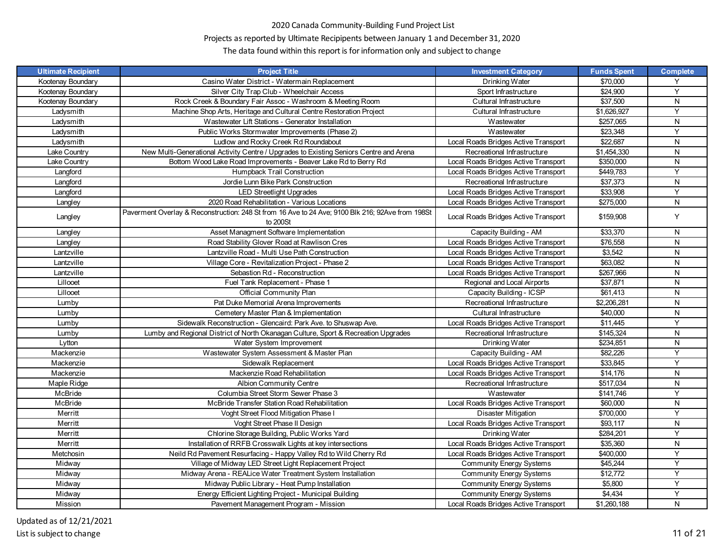# Projects as reported by Ultimate Recipipents between January 1 and December 31, 2020

| <b>Ultimate Recipient</b> | <b>Project Title</b>                                                                                         | <b>Investment Category</b>           | <b>Funds Spent</b> | <b>Complete</b> |
|---------------------------|--------------------------------------------------------------------------------------------------------------|--------------------------------------|--------------------|-----------------|
| Kootenay Boundary         | Casino Water District - Watermain Replacement                                                                | Drinking Water                       | \$70,000           | Y               |
| Kootenay Boundary         | Silver City Trap Club - Wheelchair Access                                                                    | Sport Infrastructure                 | \$24,900           | Υ               |
| Kootenay Boundary         | Rock Creek & Boundary Fair Assoc - Washroom & Meeting Room                                                   | Cultural Infrastructure              | \$37,500           | ${\sf N}$       |
| Ladysmith                 | Machine Shop Arts, Heritage and Cultural Centre Restoration Project                                          | Cultural Infrastructure              | \$1,626,927        | Y               |
| Ladysmith                 | Wastewater Lift Stations - Generator Installation                                                            | Wastewater                           | \$257,065          | N               |
| Ladysmith                 | Public Works Stormwater Improvements (Phase 2)                                                               | Wastewater                           | \$23,348           | Y               |
| Ladysmith                 | Ludlow and Rocky Creek Rd Roundabout                                                                         | Local Roads Bridges Active Transport | \$22,687           | ${\sf N}$       |
| Lake Country              | New Multi-Generational Activity Centre / Upgrades to Existing Seniors Centre and Arena                       | Recreational Infrastructure          | \$1,454,330        | N               |
| Lake Country              | Bottom Wood Lake Road Improvements - Beaver Lake Rd to Berry Rd                                              | Local Roads Bridges Active Transport | \$350,000          | ${\sf N}$       |
| Langford                  | Humpback Trail Construction                                                                                  | Local Roads Bridges Active Transport | \$449,783          | $\overline{Y}$  |
| Langford                  | Jordie Lunn Bike Park Construction                                                                           | Recreational Infrastructure          | \$37,373           | N               |
| Langford                  | <b>LED Streetlight Upgrades</b>                                                                              | Local Roads Bridges Active Transport | \$33,908           | Y               |
| Langley                   | 2020 Road Rehabilitation - Various Locations                                                                 | Local Roads Bridges Active Transport | \$275,000          | N               |
| Langley                   | Paverment Overlay & Reconstruction: 248 St from 16 Ave to 24 Ave; 9100 Blk 216; 92Ave from 198St<br>to 200St | Local Roads Bridges Active Transport | \$159,908          | Y               |
| Langley                   | Asset Managment Software Implementation                                                                      | Capacity Building - AM               | \$33,370           | N               |
| Langley                   | Road Stability Glover Road at Rawlison Cres                                                                  | Local Roads Bridges Active Transport | \$76,558           | ${\sf N}$       |
| Lantzville                | Lantzville Road - Multi Use Path Construction                                                                | Local Roads Bridges Active Transport | \$3,542            | N               |
| Lantzville                | Village Core - Revitalization Project - Phase 2                                                              | Local Roads Bridges Active Transport | \$63,082           | ${\sf N}$       |
| Lantzville                | Sebastion Rd - Reconstruction                                                                                | Local Roads Bridges Active Transport | \$267,966          | ${\sf N}$       |
| Lillooet                  | Fuel Tank Replacement - Phase 1                                                                              | Regional and Local Airports          | \$37,871           | N               |
| Lillooet                  | Official Community Plan                                                                                      | Capacity Building - ICSP             | \$61,413           | ${\sf N}$       |
| Lumby                     | Pat Duke Memorial Arena Improvements                                                                         | Recreational Infrastructure          | \$2.206.281        | N               |
| Lumby                     | Cemetery Master Plan & Implementation                                                                        | Cultural Infrastructure              | \$40,000           | ${\sf N}$       |
| Lumby                     | Sidewalk Reconstruction - Glencaird: Park Ave. to Shuswap Ave.                                               | Local Roads Bridges Active Transport | \$11,445           | Y               |
| Lumby                     | Lumby and Regional District of North Okanagan Culture, Sport & Recreation Upgrades                           | Recreational Infrastructure          | \$145,324          | N               |
| Lytton                    | Water System Improvement                                                                                     | Drinking Water                       | \$234,851          | ${\sf N}$       |
| Mackenzie                 | Wastewater System Assessment & Master Plan                                                                   | Capacity Building - AM               | \$82,226           | Y               |
| Mackenzie                 | Sidewalk Replacement                                                                                         | Local Roads Bridges Active Transport | \$33,845           | Y               |
| Mackenzie                 | Mackenzie Road Rehabilitation                                                                                | Local Roads Bridges Active Transport | \$14,176           | ${\sf N}$       |
| Maple Ridge               | <b>Albion Community Centre</b>                                                                               | Recreational Infrastructure          | \$517,034          | N               |
| McBride                   | Columbia Street Storm Sewer Phase 3                                                                          | Wastewater                           | \$141,746          | Υ               |
| McBride                   | McBride Transfer Station Road Rehabilitation                                                                 | Local Roads Bridges Active Transport | \$60,000           | ${\sf N}$       |
| Merritt                   | Voght Street Flood Mitigation Phase I                                                                        | Disaster Mitigation                  | \$700,000          | Y               |
| Merritt                   | Voght Street Phase II Design                                                                                 | Local Roads Bridges Active Transport | \$93,117           | N               |
| Merritt                   | Chlorine Storage Building, Public Works Yard                                                                 | Drinking Water                       | \$284,201          | Y               |
| Merritt                   | Installation of RRFB Crosswalk Lights at key intersections                                                   | Local Roads Bridges Active Transport | \$35,360           | ${\sf N}$       |
| Metchosin                 | Neild Rd Pavement Resurfacing - Happy Valley Rd to Wild Cherry Rd                                            | Local Roads Bridges Active Transport | \$400,000          | Y               |
| Midway                    | Village of Midway LED Street Light Replacement Project                                                       | <b>Community Energy Systems</b>      | \$45,244           | Y               |
| Midway                    | Midway Arena - REALice Water Treatment System Installation                                                   | <b>Community Energy Systems</b>      | \$12,772           | Y               |
| Midway                    | Midway Public Library - Heat Pump Installation                                                               | <b>Community Energy Systems</b>      | \$5,800            | Y               |
| Midway                    | Energy Efficient Lighting Project - Municipal Building                                                       | <b>Community Energy Systems</b>      | \$4,434            | Υ               |
| Mission                   | Pavement Management Program - Mission                                                                        | Local Roads Bridges Active Transport | \$1,260,188        | N               |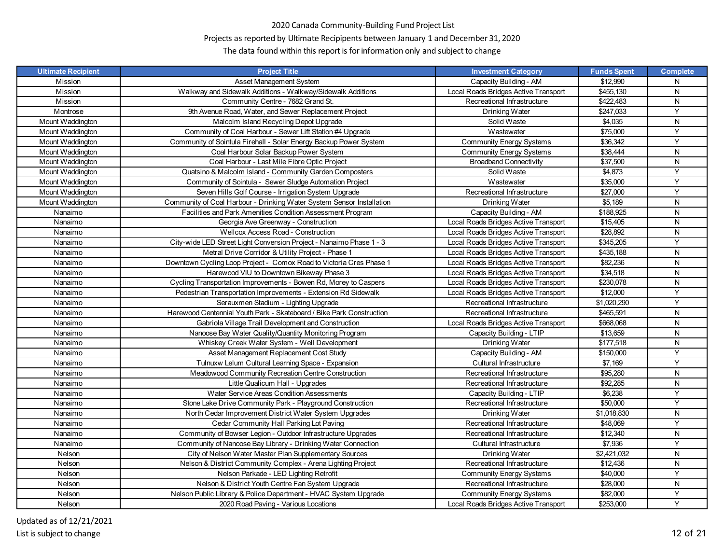# Projects as reported by Ultimate Recipipents between January 1 and December 31, 2020

| <b>Ultimate Recipient</b> | <b>Project Title</b>                                                  | <b>Investment Category</b>           | <b>Funds Spent</b> | <b>Complete</b> |
|---------------------------|-----------------------------------------------------------------------|--------------------------------------|--------------------|-----------------|
| Mission                   | Asset Management System                                               | Capacity Building - AM               | \$12.990           | N               |
| Mission                   | Walkway and Sidewalk Additions - Walkway/Sidewalk Additions           | Local Roads Bridges Active Transport | \$455,130          | N               |
| Mission                   | Community Centre - 7682 Grand St.                                     | Recreational Infrastructure          | \$422,483          | N               |
| Montrose                  | 9th Avenue Road, Water, and Sewer Replacement Project                 | Drinking Water                       | \$247,033          | Y               |
| Mount Waddington          | Malcolm Island Recycling Depot Upgrade                                | Solid Waste                          | \$4,035            | N               |
| Mount Waddington          | Community of Coal Harbour - Sewer Lift Station #4 Upgrade             | Wastewater                           | \$75,000           | Y               |
| Mount Waddington          | Community of Sointula Firehall - Solar Energy Backup Power System     | <b>Community Energy Systems</b>      | \$36,342           | Y               |
| Mount Waddington          | Coal Harbour Solar Backup Power System                                | <b>Community Energy Systems</b>      | \$38,444           | N               |
| Mount Waddington          | Coal Harbour - Last Mile Fibre Optic Project                          | <b>Broadband Connectivity</b>        | \$37,500           | N               |
| Mount Waddington          | Quatsino & Malcolm Island - Community Garden Composters               | Solid Waste                          | \$4,873            | Y               |
| Mount Waddington          | Community of Sointula - Sewer Sludge Automation Project               | Wastewater                           | \$35,000           | Y               |
| Mount Waddington          | Seven Hills Golf Course - Irrigation System Upgrade                   | Recreational Infrastructure          | \$27,000           | Υ               |
| Mount Waddington          | Community of Coal Harbour - Drinking Water System Sensor Installation | Drinking Water                       | \$5,189            | N               |
| Nanaimo                   | Facilities and Park Amenities Condition Assessment Program            | Capacity Building - AM               | \$188,925          | N               |
| Nanaimo                   | Georgia Ave Greenway - Construction                                   | Local Roads Bridges Active Transport | \$15,405           | N               |
| Nanaimo                   | Wellcox Access Road - Construction                                    | Local Roads Bridges Active Transport | \$28,892           | N               |
| Nanaimo                   | City-wide LED Street Light Conversion Project - Nanaimo Phase 1 - 3   | Local Roads Bridges Active Transport | \$345,205          | Y               |
| Nanaimo                   | Metral Drive Corridor & Utility Project - Phase 1                     | Local Roads Bridges Active Transport | \$435,188          | N               |
| Nanaimo                   | Downtown Cycling Loop Project - Comox Road to Victoria Cres Phase 1   | Local Roads Bridges Active Transport | \$82,236           | N               |
| Nanaimo                   | Harewood VIU to Downtown Bikeway Phase 3                              | Local Roads Bridges Active Transport | \$34,518           | N               |
| Nanaimo                   | Cycling Transportation Improvements - Bowen Rd, Morey to Caspers      | Local Roads Bridges Active Transport | \$230,078          | N               |
| Nanaimo                   | Pedestrian Transportation Improvements - Extension Rd Sidewalk        | Local Roads Bridges Active Transport | \$12,000           | Υ               |
| Nanaimo                   | Serauxmen Stadium - Lighting Upgrade                                  | Recreational Infrastructure          | \$1,020,290        | Y               |
| Nanaimo                   | Harewood Centennial Youth Park - Skateboard / Bike Park Construction  | Recreational Infrastructure          | \$465,591          | N               |
| Nanaimo                   | Gabriola Village Trail Development and Construction                   | Local Roads Bridges Active Transport | \$668,068          | N               |
| Nanaimo                   | Nanoose Bay Water Quality/Quantity Monitoring Program                 | Capacity Building - LTIP             | \$13,659           | N               |
| Nanaimo                   | Whiskey Creek Water System - Well Development                         | Drinking Water                       | \$177,518          | N               |
| Nanaimo                   | Asset Management Replacement Cost Study                               | Capacity Building - AM               | \$150,000          | Y               |
| Nanaimo                   | Tulnuxw Lelum Cultural Learning Space - Expansion                     | Cultural Infrastructure              | \$7,169            | Υ               |
| Nanaimo                   | Meadowood Community Recreation Centre Construction                    | Recreational Infrastructure          | \$95,280           | N               |
| Nanaimo                   | Little Qualicum Hall - Upgrades                                       | Recreational Infrastructure          | \$92,285           | N               |
| Nanaimo                   | Water Service Areas Condition Assessments                             | Capacity Building - LTIP             | \$6,238            | Y               |
| Nanaimo                   | Stone Lake Drive Community Park - Playground Construction             | Recreational Infrastructure          | \$50,000           | Υ               |
| Nanaimo                   | North Cedar Improvement District Water System Upgrades                | Drinking Water                       | \$1,018,830        | N               |
| Nanaimo                   | Cedar Community Hall Parking Lot Paving                               | Recreational Infrastructure          | \$48,069           | Y               |
| Nanaimo                   | Community of Bowser Legion - Outdoor Infrastructure Upgrades          | Recreational Infrastructure          | \$12,340           | N               |
| Nanaimo                   | Community of Nanoose Bay Library - Drinking Water Connection          | Cultural Infrastructure              | \$7,936            | Y               |
| Nelson                    | City of Nelson Water Master Plan Supplementary Sources                | Drinking Water                       | \$2,421,032        | N               |
| Nelson                    | Nelson & District Community Complex - Arena Lighting Project          | Recreational Infrastructure          | \$12,436           | N               |
| Nelson                    | Nelson Parkade - LED Lighting Retrofit                                | <b>Community Energy Systems</b>      | \$40,000           | Y               |
| Nelson                    | Nelson & District Youth Centre Fan System Upgrade                     | Recreational Infrastructure          | \$28,000           | N               |
| Nelson                    | Nelson Public Library & Police Department - HVAC System Upgrade       | Community Energy Systems             | \$82,000           | Y               |
| Nelson                    | 2020 Road Paving - Various Locations                                  | Local Roads Bridges Active Transport | \$253,000          | Y               |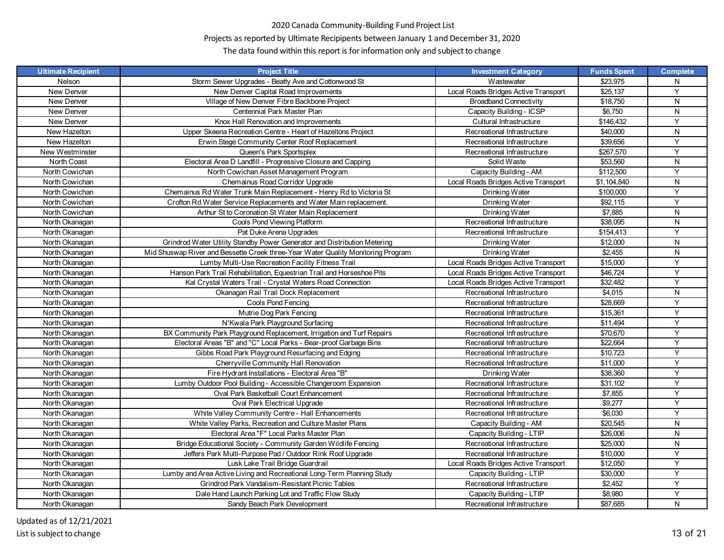# Projects as reported by Ultimate Recipipents between January 1 and December 31, 2020

| <b>Ultimate Recipient</b> | <b>Project Title</b>                                                             | <b>Investment Category</b>           | <b>Funds Spent</b> | <b>Complete</b> |
|---------------------------|----------------------------------------------------------------------------------|--------------------------------------|--------------------|-----------------|
| Nelson                    | Storm Sewer Upgrades - Beatty Ave and Cottonwood St                              | Wastewater                           | \$23,975           | N               |
| New Denver                | New Denver Capital Road Improvements                                             | Local Roads Bridges Active Transport | \$25,137           | Y               |
| New Denver                | Village of New Denver Fibre Backbone Project                                     | <b>Broadband Connectivity</b>        | \$18,750           | N               |
| New Denver                | Centennial Park Master Plan                                                      | Capacity Building - ICSP             | \$6,750            | N               |
| New Denver                | Knox Hall Renovation and Improvements                                            | Cultural Infrastructure              | \$146,432          | Y               |
| New Hazelton              | Upper Skeena Recreation Centre - Heart of Hazeltons Project                      | Recreational Infrastructure          | \$40,000           | ${\sf N}$       |
| New Hazelton              | Erwin Stege Community Center Roof Replacement                                    | Recreational Infrastructure          | \$39,656           | Y               |
| New Westminster           | Queen's Park Sportsplex                                                          | Recreational Infrastructure          | \$267,570          | Y               |
| North Coast               | Electoral Area D Landfill - Progressive Closure and Capping                      | Solid Waste                          | \$53,560           | N               |
| North Cowichan            | North Cowichan Asset Management Program                                          | Capacity Building - AM               | \$112,500          | Y               |
| North Cowichan            | Chemainus Road Corridor Upgrade                                                  | Local Roads Bridges Active Transport | \$1,104,840        | N               |
| North Cowichan            | Chemainus Rd Water Trunk Main Replacement - Henry Rd to Victoria St              | Drinking Water                       | \$100,000          | Υ               |
| North Cowichan            | Crofton Rd Water Service Replacements and Water Main replacement.                | Drinking Water                       | \$92,115           | $\overline{Y}$  |
| North Cowichan            | Arthur St to Coronation St Water Main Replacement                                | Drinking Water                       | \$7,885            | ${\sf N}$       |
| North Okanagan            | Cools Pond Viewing Platform                                                      | Recreational Infrastructure          | \$38,095           | N               |
| North Okanagan            | Pat Duke Arena Upgrades                                                          | Recreational Infrastructure          | \$154,413          | Y               |
| North Okanagan            | Grindrod Water Utility Standby Power Generator and Distribution Metering         | Drinking Water                       | \$12,000           | N               |
| North Okanagan            | Mid Shuswap River and Bessette Creek three-Year Water Quality Monitoring Program | Drinking Water                       | \$2,455            | ${\sf N}$       |
| North Okanagan            | Lumby Multi-Use Recreation Facility Fitness Trail                                | Local Roads Bridges Active Transport | \$15,000           | $\overline{Y}$  |
| North Okanagan            | Hanson Park Trail Rehabilitation, Equestrian Trail and Horseshoe Pits            | Local Roads Bridges Active Transport | \$46,724           | Y               |
| North Okanagan            | Kal Crystal Waters Trail - Crystal Waters Road Connection                        | Local Roads Bridges Active Transport | \$32,482           | Y               |
| North Okanagan            | Okanagan Rail Trail Dock Replacement                                             | Recreational Infrastructure          | \$4,015            | N               |
| North Okanagan            | Cools Pond Fencing                                                               | Recreational Infrastructure          | \$28,669           | Y               |
| North Okanagan            | Mutrie Dog Park Fencing                                                          | Recreational Infrastructure          | \$15,361           | Y               |
| North Okanagan            | N'Kwala Park Playground Surfacing                                                | Recreational Infrastructure          | \$11,494           | Y               |
| North Okanagan            | BX Community Park Playground Replacement, Irrigation and Turf Repairs            | Recreational Infrastructure          | \$70,670           | $\overline{Y}$  |
| North Okanagan            | Electoral Areas "B" and "C" Local Parks - Bear-proof Garbage Bins                | Recreational Infrastructure          | \$22,664           | Y               |
| North Okanagan            | Gibbs Road Park Playground Resurfacing and Edging                                | Recreational Infrastructure          | \$10,723           | Y               |
| North Okanagan            | Cherryville Community Hall Renovation                                            | Recreational Infrastructure          | \$11,000           | Y               |
| North Okanagan            | Fire Hydrant Installations - Electoral Area "B"                                  | Drinking Water                       | \$38,360           | $\overline{Y}$  |
| North Okanagan            | Lumby Outdoor Pool Building - Accessible Changeroom Expansion                    | Recreational Infrastructure          | \$31,102           | Y               |
| North Okanagan            | Oval Park Basketball Court Enhancement                                           | Recreational Infrastructure          | \$7,855            | Υ               |
| North Okanagan            | Oval Park Electrical Upgrade                                                     | Recreational Infrastructure          | \$9,277            | Y               |
| North Okanagan            | White Valley Community Centre - Hall Enhancements                                | Recreational Infrastructure          | \$6,030            | Y               |
| North Okanagan            | White Valley Parks, Recreation and Culture Master Plans                          | Capacity Building - AM               | \$20,545           | N               |
| North Okanagan            | Electoral Area "F" Local Parks Master Plan                                       | Capacity Building - LTIP             | \$26,006           | ${\sf N}$       |
| North Okanagan            | Bridge Educational Society - Community Garden Wildlife Fencing                   | Recreational Infrastructure          | \$25,000           | ${\sf N}$       |
| North Okanagan            | Jeffers Park Multi-Purpose Pad / Outdoor Rink Roof Upgrade                       | Recreational Infrastructure          | \$10,000           | Υ               |
| North Okanagan            | Lusk Lake Trail Bridge Guardrail                                                 | Local Roads Bridges Active Transport | \$12,050           | Y               |
| North Okanagan            | Lumby and Area Active Living and Recreational Long-Term Planning Study           | Capacity Building - LTIP             | \$30,000           | Y               |
| North Okanagan            | Grindrod Park Vandalism-Resistant Picnic Tables                                  | Recreational Infrastructure          | \$2,452            | Y               |
| North Okanagan            | Dale Hand Launch Parking Lot and Traffic Flow Study                              | Capacity Building - LTIP             | \$8,980            | Υ               |
| North Okanagan            | Sandy Beach Park Development                                                     | Recreational Infrastructure          | \$87,685           | $\overline{N}$  |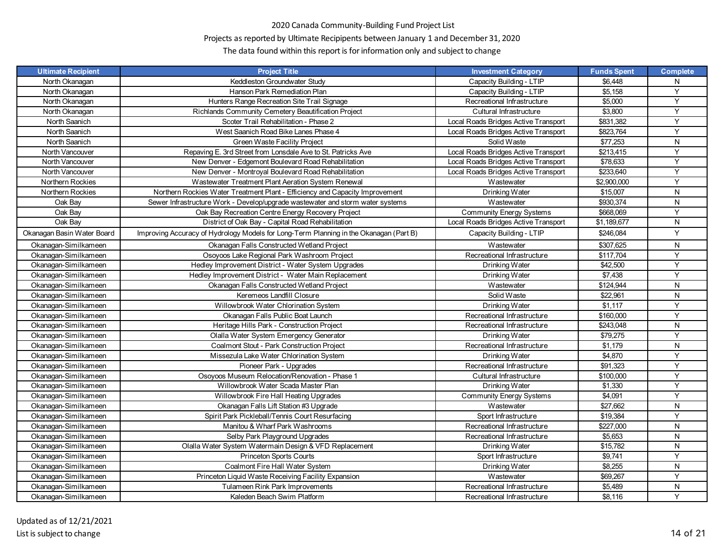# Projects as reported by Ultimate Recipipents between January 1 and December 31, 2020

| <b>Ultimate Recipient</b>  | <b>Project Title</b>                                                                   | <b>Investment Category</b>           | <b>Funds Spent</b> | <b>Complete</b> |
|----------------------------|----------------------------------------------------------------------------------------|--------------------------------------|--------------------|-----------------|
| North Okanagan             | Keddleston Groundwater Study                                                           | Capacity Building - LTIP             | \$6,448            | N               |
| North Okanagan             | Hanson Park Remediation Plan                                                           | Capacity Building - LTIP             | \$5,158            | Y               |
| North Okanagan             | Hunters Range Recreation Site Trail Signage                                            | Recreational Infrastructure          | \$5,000            | Y               |
| North Okanagan             | Richlands Community Cemetery Beautification Project                                    | Cultural Infrastructure              | \$3,800            | Y               |
| North Saanich              | Scoter Trail Rehabilitation - Phase 2                                                  | Local Roads Bridges Active Transport | \$831.382          | Y               |
| North Saanich              | West Saanich Road Bike Lanes Phase 4                                                   | Local Roads Bridges Active Transport | \$823,764          | Y               |
| North Saanich              | Green Waste Facility Project                                                           | Solid Waste                          | \$77,253           | N               |
| North Vancouver            | Repaving E. 3rd Street from Lonsdale Ave to St. Patricks Ave                           | Local Roads Bridges Active Transport | \$213,415          | Y               |
| North Vancouver            | New Denver - Edgemont Boulevard Road Rehabilitation                                    | Local Roads Bridges Active Transport | \$78,633           | Y               |
| North Vancouver            | New Denver - Montroyal Boulevard Road Rehabilitation                                   | Local Roads Bridges Active Transport | \$233,640          | Y               |
| Northern Rockies           | Wastewater Treatment Plant Aeration System Renewal                                     | Wastewater                           | \$2,900,000        | Y               |
| Northern Rockies           | Northern Rockies Water Treatment Plant - Efficiency and Capacity Improvement           | Drinking Water                       | \$15,007           | ${\sf N}$       |
| Oak Bay                    | Sewer Infrastructure Work - Develop/upgrade wastewater and storm water systems         | Wastewater                           | \$930,374          | N               |
| Oak Bay                    | Oak Bay Recreation Centre Energy Recovery Project                                      | <b>Community Energy Systems</b>      | \$668,069          | Y               |
| Oak Bav                    | District of Oak Bay - Capital Road Rehabilitation                                      | Local Roads Bridges Active Transport | \$1,189,677        | N               |
| Okanagan Basin Water Board | Improving Accuracy of Hydrology Models for Long-Term Planning in the Okanagan (Part B) | Capacity Building - LTIP             | \$246,084          | Y               |
| Okanagan-Similkameen       | Okanagan Falls Constructed Wetland Project                                             | Wastewater                           | \$307.625          | N.              |
| Okanagan-Similkameen       | Osoyoos Lake Regional Park Washroom Project                                            | Recreational Infrastructure          | \$117,704          | Y               |
| Okanagan-Similkameen       | Hedley Improvement District - Water System Upgrades                                    | Drinking Water                       | \$42,500           | Y               |
| Okanagan-Similkameen       | Hedley Improvement District - Water Main Replacement                                   | Drinking Water                       | \$7,438            | Y               |
| Okanagan-Similkameen       | Okanagan Falls Constructed Wetland Project                                             | Wastewater                           | \$124,944          | N               |
| Okanagan-Similkameen       | Keremeos Landfill Closure                                                              | Solid Waste                          | \$22,961           | N               |
| Okanagan-Similkameen       | Willowbrook Water Chlorination System                                                  | Drinking Water                       | \$1,117            | Y               |
| Okanagan-Similkameen       | Okanagan Falls Public Boat Launch                                                      | Recreational Infrastructure          | \$160,000          | Y               |
| Okanagan-Similkameen       | Heritage Hills Park - Construction Project                                             | Recreational Infrastructure          | \$243,048          | N               |
| Okanagan-Similkameen       | Olalla Water System Emergency Generator                                                | Drinking Water                       | \$79,275           | Y               |
| Okanagan-Similkameen       | Coalmont Stout - Park Construction Project                                             | Recreational Infrastructure          | \$1,179            | N               |
| Okanagan-Similkameen       | Missezula Lake Water Chlorination System                                               | Drinking Water                       | \$4,870            | Y               |
| Okanagan-Similkameen       | Pioneer Park - Upgrades                                                                | Recreational Infrastructure          | \$91,323           | Y               |
| Okanagan-Similkameen       | Osoyoos Museum Relocation/Renovation - Phase 1                                         | Cultural Infrastructure              | \$100,000          | Y               |
| Okanagan-Similkameen       | Willowbrook Water Scada Master Plan                                                    | Drinking Water                       | \$1,330            | Y               |
| Okanagan-Similkameen       | Willowbrook Fire Hall Heating Upgrades                                                 | <b>Community Energy Systems</b>      | \$4,091            | Y               |
| Okanagan-Similkameen       | Okanagan Falls Lift Station #3 Upgrade                                                 | Wastewater                           | \$27,662           | N               |
| Okanagan-Similkameen       | Spirit Park Pickleball/Tennis Court Resurfacing                                        | Sport Infrastructure                 | \$19,384           | Y               |
| Okanagan-Similkameen       | Manitou & Wharf Park Washrooms                                                         | Recreational Infrastructure          | \$227,000          | ${\sf N}$       |
| Okanagan-Similkameen       | Selby Park Playground Upgrades                                                         | Recreational Infrastructure          | \$5.653            | N               |
| Okanagan-Similkameen       | Olalla Water System Watermain Design & VFD Replacement                                 | Drinking Water                       | \$15,782           | N               |
| Okanagan-Similkameen       | Princeton Sports Courts                                                                | Sport Infrastructure                 | \$9,741            | Y               |
| Okanagan-Similkameen       | Coalmont Fire Hall Water System                                                        | Drinking Water                       | \$8,255            | N               |
| Okanagan-Similkameen       | Princeton Liquid Waste Receiving Facility Expansion                                    | Wastewater                           | \$69,267           | Y               |
| Okanagan-Similkameen       | Tulameen Rink Park Improvements                                                        | Recreational Infrastructure          | \$5,489            | N               |
| Okanagan-Similkameen       | Kaleden Beach Swim Platform                                                            | Recreational Infrastructure          | \$8,116            | Y               |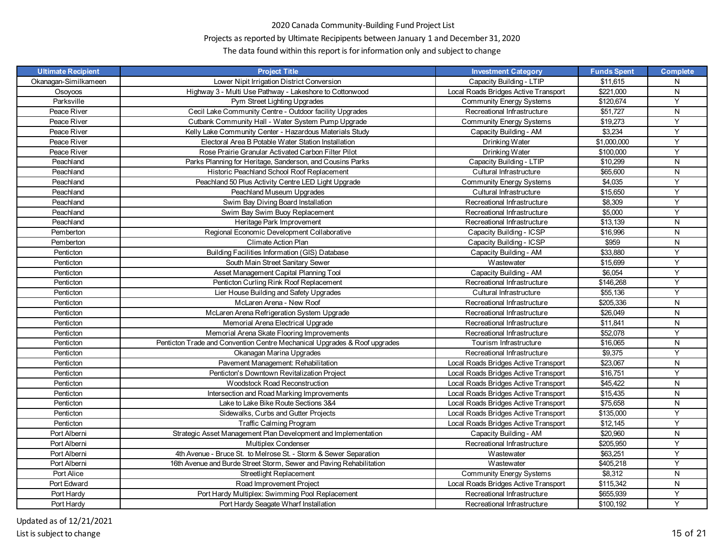# Projects as reported by Ultimate Recipipents between January 1 and December 31, 2020

| <b>Ultimate Recipient</b> | <b>Project Title</b>                                                      | <b>Investment Category</b>           | <b>Funds Spent</b> | <b>Complete</b> |
|---------------------------|---------------------------------------------------------------------------|--------------------------------------|--------------------|-----------------|
| Okanagan-Similkameen      | Lower Nipit Irrigation District Conversion                                | Capacity Building - LTIP             | \$11,615           | N               |
| Osoyoos                   | Highway 3 - Multi Use Pathway - Lakeshore to Cottonwood                   | Local Roads Bridges Active Transport | \$221,000          | N               |
| Parksville                | Pym Street Lighting Upgrades                                              | <b>Community Energy Systems</b>      | \$120,674          | Y               |
| Peace River               | Cecil Lake Community Centre - Outdoor facility Upgrades                   | Recreational Infrastructure          | \$51,727           | N               |
| Peace River               | Cutbank Community Hall - Water System Pump Upgrade                        | <b>Community Energy Systems</b>      | \$19,273           | Y               |
| Peace River               | Kelly Lake Community Center - Hazardous Materials Study                   | Capacity Building - AM               | \$3,234            | Y               |
| Peace River               | Electoral Area B Potable Water Station Installation                       | Drinking Water                       | \$1,000,000        | Y               |
| Peace River               | Rose Prairie Granular Activated Carbon Filter Pilot                       | Drinking Water                       | \$100,000          | Y               |
| Peachland                 | Parks Planning for Heritage, Sanderson, and Cousins Parks                 | Capacity Building - LTIP             | \$10,299           | N               |
| Peachland                 | Historic Peachland School Roof Replacement                                | Cultural Infrastructure              | \$65,600           | N               |
| Peachland                 | Peachland 50 Plus Activity Centre LED Light Upgrade                       | <b>Community Energy Systems</b>      | \$4,035            | Y               |
| Peachland                 | Peachland Museum Upgrades                                                 | Cultural Infrastructure              | \$15,650           | Y               |
| Peachland                 | Swim Bay Diving Board Installation                                        | Recreational Infrastructure          | \$8,309            | Y               |
| Peachland                 | Swim Bay Swim Buoy Replacement                                            | Recreational Infrastructure          | \$5.000            | Y               |
| Peachland                 | Heritage Park Improvement                                                 | Recreational Infrastructure          | \$13,139           | N               |
| Pemberton                 | Regional Economic Development Collaborative                               | Capacity Building - ICSP             | \$16,996           | N               |
| Pemberton                 | Climate Action Plan                                                       | Capacity Building - ICSP             | \$959              | N               |
| Penticton                 | Building Facilities Information (GIS) Database                            | Capacity Building - AM               | \$33,880           | Y               |
| Penticton                 | South Main Street Sanitary Sewer                                          | Wastewater                           | \$15,699           | Y               |
| Penticton                 | Asset Management Capital Planning Tool                                    | Capacity Building - AM               | \$6.054            | Y               |
| Penticton                 | Penticton Curling Rink Roof Replacement                                   | Recreational Infrastructure          | \$146,268          | Y               |
| Penticton                 | Lier House Building and Safety Upgrades                                   | Cultural Infrastructure              | \$55,136           | Y               |
| Penticton                 | McLaren Arena - New Roof                                                  | Recreational Infrastructure          | \$205,336          | N               |
| Penticton                 | McLaren Arena Refrigeration System Upgrade                                | Recreational Infrastructure          | \$26,049           | N               |
| Penticton                 | Memorial Arena Electrical Upgrade                                         | Recreational Infrastructure          | \$11,841           | N               |
| Penticton                 | Memorial Arena Skate Flooring Improvements                                | Recreational Infrastructure          | \$52,078           | Y               |
| Penticton                 | Penticton Trade and Convention Centre Mechanical Upgrades & Roof upgrades | Tourism Infrastructure               | \$16,065           | N               |
| Penticton                 | Okanagan Marina Upgrades                                                  | Recreational Infrastructure          | \$9,375            | Y               |
| Penticton                 | Pavement Management: Rehabilitation                                       | Local Roads Bridges Active Transport | \$23,067           | N               |
| Penticton                 | Penticton's Downtown Revitalization Project                               | Local Roads Bridges Active Transport | \$16,751           | Y               |
| Penticton                 | <b>Woodstock Road Reconstruction</b>                                      | Local Roads Bridges Active Transport | \$45,422           | N               |
| Penticton                 | Intersection and Road Marking Improvements                                | Local Roads Bridges Active Transport | \$15,435           | N               |
| Penticton                 | Lake to Lake Bike Route Sections 3&4                                      | Local Roads Bridges Active Transport | \$75,658           | N               |
| Penticton                 | Sidewalks, Curbs and Gutter Projects                                      | Local Roads Bridges Active Transport | \$135,000          | Y               |
| Penticton                 | <b>Traffic Calming Program</b>                                            | Local Roads Bridges Active Transport | \$12,145           | Y               |
| Port Alberni              | Strategic Asset Management Plan Development and Implementation            | Capacity Building - AM               | \$20,960           | N               |
| Port Alberni              | <b>Multiplex Condenser</b>                                                | Recreational Infrastructure          | \$205,950          | Y               |
| Port Alberni              | 4th Avenue - Bruce St. to Melrose St. - Storm & Sewer Separation          | Wastewater                           | \$63,251           | Y               |
| Port Alberni              | 16th Avenue and Burde Street Storm, Sewer and Paving Rehabilitation       | Wastewater                           | \$405,218          | Y               |
| Port Alice                | <b>Streetlight Replacement</b>                                            | <b>Community Energy Systems</b>      | \$8,312            | N               |
| Port Edward               | Road Improvement Project                                                  | Local Roads Bridges Active Transport | \$115,342          | N               |
| Port Hardy                | Port Hardy Multiplex: Swimming Pool Replacement                           | Recreational Infrastructure          | \$655,939          | Υ               |
| Port Hardy                | Port Hardy Seagate Wharf Installation                                     | Recreational Infrastructure          | \$100,192          | Y               |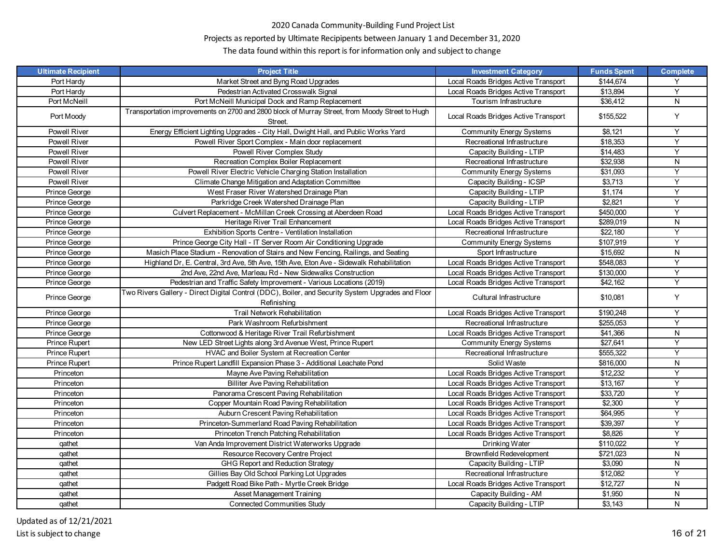# Projects as reported by Ultimate Recipipents between January 1 and December 31, 2020

| <b>Ultimate Recipient</b> | <b>Project Title</b>                                                                                             | <b>Investment Category</b>           | <b>Funds Spent</b> | <b>Complete</b> |
|---------------------------|------------------------------------------------------------------------------------------------------------------|--------------------------------------|--------------------|-----------------|
| Port Hardy                | Market Street and Byng Road Upgrades                                                                             | Local Roads Bridges Active Transport | \$144,674          | Y               |
| Port Hardy                | Pedestrian Activated Crosswalk Signal                                                                            | Local Roads Bridges Active Transport | \$13,894           | Y               |
| Port McNeill              | Port McNeill Municipal Dock and Ramp Replacement                                                                 | Tourism Infrastructure               | \$36,412           | N               |
| Port Moody                | Transportation improvements on 2700 and 2800 block of Murray Street, from Moody Street to Hugh<br>Street.        | Local Roads Bridges Active Transport | \$155,522          | Y               |
| Powell River              | Energy Efficient Lighting Upgrades - City Hall, Dwight Hall, and Public Works Yard                               | Community Energy Systems             | \$8,121            | Y               |
| Powell River              | Powell River Sport Complex - Main door replacement                                                               | Recreational Infrastructure          | \$18,353           | Y               |
| <b>Powell River</b>       | Powell River Complex Study                                                                                       | Capacity Building - LTIP             | \$14,483           | Y               |
| Powell River              | Recreation Complex Boiler Replacement                                                                            | Recreational Infrastructure          | \$32,938           | N               |
| Powell River              | Powell River Electric Vehicle Charging Station Installation                                                      | <b>Community Energy Systems</b>      | \$31,093           | Y               |
| Powell River              | Climate Change Mitigation and Adaptation Committee                                                               | Capacity Building - ICSP             | \$3,713            | Y               |
| Prince George             | West Fraser River Watershed Drainage Plan                                                                        | Capacity Building - LTIP             | \$1,174            | Υ               |
| Prince George             | Parkridge Creek Watershed Drainage Plan                                                                          | Capacity Building - LTIP             | \$2,821            | Y               |
| Prince George             | Culvert Replacement - McMillan Creek Crossing at Aberdeen Road                                                   | Local Roads Bridges Active Transport | \$450,000          | Y               |
| Prince George             | Heritage River Trail Enhancement                                                                                 | Local Roads Bridges Active Transport | \$289,019          | $\mathsf{N}$    |
| Prince George             | Exhibition Sports Centre - Ventilation Installation                                                              | Recreational Infrastructure          | \$22,180           | Y               |
| Prince George             | Prince George City Hall - IT Server Room Air Conditioning Upgrade                                                | <b>Community Energy Systems</b>      | \$107,919          | Y               |
| Prince George             | Masich Place Stadium - Renovation of Stairs and New Fencing, Railings, and Seating                               | Sport Infrastructure                 | \$15,692           | N               |
| Prince George             | Highland Dr, E. Central, 3rd Ave, 5th Ave, 15th Ave, Eton Ave - Sidewalk Rehabilitation                          | Local Roads Bridges Active Transport | \$548,083          | Y               |
| Prince George             | 2nd Ave, 22nd Ave, Marleau Rd - New Sidewalks Construction                                                       | Local Roads Bridges Active Transport | \$130,000          | Y               |
| Prince George             | Pedestrian and Traffic Safety Improvement - Various Locations (2019)                                             | Local Roads Bridges Active Transport | \$42,162           | Y               |
| Prince George             | Two Rivers Gallery - Direct Digital Control (DDC), Boiler, and Security System Upgrades and Floor<br>Refinishing | Cultural Infrastructure              | \$10,081           | Y               |
| Prince George             | Trail Network Rehabilitation                                                                                     | Local Roads Bridges Active Transport | \$190,248          | Y               |
| Prince George             | Park Washroom Refurbishment                                                                                      | Recreational Infrastructure          | \$255,053          | Y               |
| Prince George             | Cottonwood & Heritage River Trail Refurbishment                                                                  | Local Roads Bridges Active Transport | \$41,366           | N               |
| Prince Rupert             | New LED Street Lights along 3rd Avenue West, Prince Rupert                                                       | <b>Community Energy Systems</b>      | \$27,641           | Y               |
| Prince Rupert             | HVAC and Boiler System at Recreation Center                                                                      | Recreational Infrastructure          | \$555,322          | Y               |
| Prince Rupert             | Prince Rupert Landfill Expansion Phase 3 - Additional Leachate Pond                                              | Solid Waste                          | \$816,000          | ${\sf N}$       |
| Princeton                 | Mayne Ave Paving Rehabilitation                                                                                  | Local Roads Bridges Active Transport | \$12,232           | Y               |
| Princeton                 | <b>Billiter Ave Paving Rehabilitation</b>                                                                        | Local Roads Bridges Active Transport | \$13,167           | Υ               |
| Princeton                 | Panorama Crescent Paving Rehabilitation                                                                          | Local Roads Bridges Active Transport | \$33,720           | Y               |
| Princeton                 | Copper Mountain Road Paving Rehabilitation                                                                       | Local Roads Bridges Active Transport | \$2,300            | Y               |
| Princeton                 | Auburn Crescent Paving Rehabilitation                                                                            | Local Roads Bridges Active Transport | \$64,995           | Y               |
| Princeton                 | Princeton-Summerland Road Paving Rehabilitation                                                                  | Local Roads Bridges Active Transport | \$39,397           | Y               |
| Princeton                 | Princeton Trench Patching Rehabilitation                                                                         | Local Roads Bridges Active Transport | \$8,826            | Y               |
| qathet                    | Van Anda Improvement District Waterworks Upgrade                                                                 | Drinking Water                       | \$110,022          | Y               |
| gathet                    | Resource Recovery Centre Project                                                                                 | Brownfield Redevelopment             | \$721,023          | N               |
| qathet                    | GHG Report and Reduction Strategy                                                                                | Capacity Building - LTIP             | \$3,090            | $\mathsf{N}$    |
| qathet                    | Gillies Bay Old School Parking Lot Upgrades                                                                      | Recreational Infrastructure          | \$12,082           | Y               |
| qathet                    | Padgett Road Bike Path - Myrtle Creek Bridge                                                                     | Local Roads Bridges Active Transport | \$12,727           | N               |
| qathet                    | <b>Asset Management Training</b>                                                                                 | Capacity Building - AM               | \$1,950            | ${\sf N}$       |
| qathet                    | <b>Connected Communities Study</b>                                                                               | Capacity Building - LTIP             | \$3,143            | N               |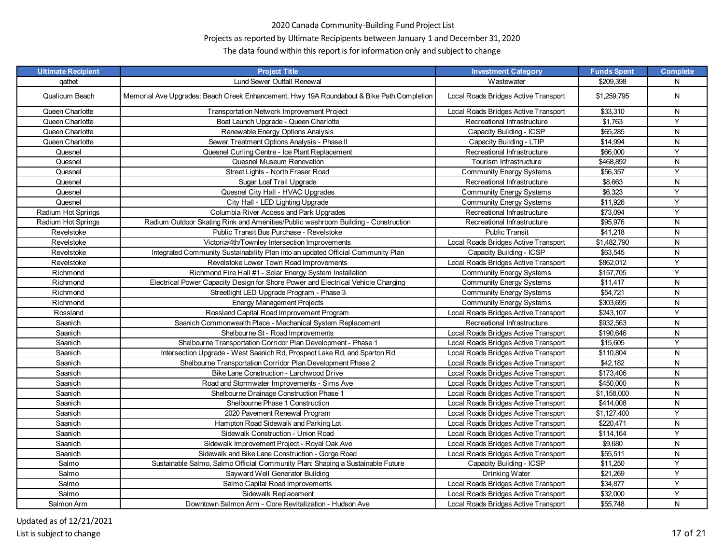# Projects as reported by Ultimate Recipipents between January 1 and December 31, 2020

| <b>Ultimate Recipient</b> | <b>Project Title</b>                                                                      | <b>Investment Category</b>           | <b>Funds Spent</b> | <b>Complete</b> |
|---------------------------|-------------------------------------------------------------------------------------------|--------------------------------------|--------------------|-----------------|
| qathet                    | Lund Sewer Outfall Renewal                                                                | Wastewater                           | \$209,398          | N               |
| Qualicum Beach            | Memorial Ave Upgrades: Beach Creek Enhancement, Hwy 19A Roundabout & Bike Path Completion | Local Roads Bridges Active Transport | \$1,259,795        | N               |
| Queen Charlotte           | Transportation Network Improvement Project                                                | Local Roads Bridges Active Transport | \$33,310           | N               |
| Queen Charlotte           | Boat Launch Upgrade - Queen Charlotte                                                     | Recreational Infrastructure          | \$1,763            | Y               |
| Queen Charlotte           | Renewable Energy Options Analysis                                                         | Capacity Building - ICSP             | \$65,285           | N               |
| Queen Charlotte           | Sewer Treatment Options Analysis - Phase II                                               | Capacity Building - LTIP             | \$14,994           | ${\sf N}$       |
| Quesnel                   | Quesnel Curling Centre - Ice Plant Replacement                                            | Recreational Infrastructure          | \$66,000           | Y               |
| Quesnel                   | Quesnel Museum Renovation                                                                 | Tourism Infrastructure               | \$468,892          | ${\sf N}$       |
| Quesnel                   | Street Lights - North Fraser Road                                                         | <b>Community Energy Systems</b>      | \$56,357           | Y               |
| Quesnel                   | Sugar Loaf Trail Upgrade                                                                  | Recreational Infrastructure          | \$8,663            | ${\sf N}$       |
| Quesnel                   | Quesnel City Hall - HVAC Upgrades                                                         | <b>Community Energy Systems</b>      | \$6,323            | Y               |
| Quesnel                   | City Hall - LED Lighting Upgrade                                                          | <b>Community Energy Systems</b>      | \$11,926           | Y               |
| Radium Hot Springs        | Columbia River Access and Park Upgrades                                                   | Recreational Infrastructure          | \$73,094           | Y               |
| Radium Hot Springs        | Radium Outdoor Skating Rink and Amenities/Public washroom Building - Construction         | Recreational Infrastructure          | \$95,976           | N               |
| Revelstoke                | Public Transit Bus Purchase - Revelstoke                                                  | <b>Public Transit</b>                | \$41,218           | ${\sf N}$       |
| Revelstoke                | Victoria/4th/Townley Intersection Improvements                                            | Local Roads Bridges Active Transport | \$1,482,790        | N               |
| Revelstoke                | Integrated Community Sustainability Plan into an updated Official Community Plan          | Capacity Building - ICSP             | \$63,545           | N               |
| Revelstoke                | Revelstoke Lower Town Road Improvements                                                   | Local Roads Bridges Active Transport | \$862,012          | Y               |
| Richmond                  | Richmond Fire Hall #1 - Solar Energy System Installation                                  | <b>Community Energy Systems</b>      | \$157,705          | Υ               |
| Richmond                  | Electrical Power Capacity Design for Shore Power and Electrical Vehicle Charging          | <b>Community Energy Systems</b>      | \$11,417           | ${\sf N}$       |
| Richmond                  | Streetlight LED Upgrade Program - Phase 3                                                 | <b>Community Energy Systems</b>      | \$54,721           | ${\sf N}$       |
| Richmond                  | <b>Energy Management Projects</b>                                                         | <b>Community Energy Systems</b>      | \$303,695          | N               |
| Rossland                  | Rossland Capital Road Improvement Program                                                 | Local Roads Bridges Active Transport | \$243,107          | Y               |
| Saanich                   | Saanich Commonwealth Place - Mechanical System Replacement                                | Recreational Infrastructure          | \$932,563          | N               |
| Saanich                   | Shelbourne St - Road Improvements                                                         | Local Roads Bridges Active Transport | \$190,646          | ${\sf N}$       |
| Saanich                   | Shelbourne Transportation Corridor Plan Development - Phase 1                             | Local Roads Bridges Active Transport | \$15,605           | $\overline{Y}$  |
| Saanich                   | Intersection Upgrade - West Saanich Rd, Prospect Lake Rd, and Sparton Rd                  | Local Roads Bridges Active Transport | \$110,804          | N               |
| Saanich                   | Shelbourne Transportation Corridor Plan Development Phase 2                               | Local Roads Bridges Active Transport | \$42,182           | ${\sf N}$       |
| Saanich                   | Bike Lane Construction - Larchwood Drive                                                  | Local Roads Bridges Active Transport | \$173,406          | ${\sf N}$       |
| Saanich                   | Road and Stormwater Improvements - Sims Ave                                               | Local Roads Bridges Active Transport | \$450,000          | N               |
| Saanich                   | Shelbourne Drainage Construction Phase 1                                                  | Local Roads Bridges Active Transport | \$1,158,000        | N               |
| Saanich                   | Shelbourne Phase 1 Construction                                                           | Local Roads Bridges Active Transport | \$414,008          | N               |
| Saanich                   | 2020 Pavement Renewal Program                                                             | Local Roads Bridges Active Transport | \$1,127,400        | Y               |
| Saanich                   | Hampton Road Sidewalk and Parking Lot                                                     | Local Roads Bridges Active Transport | \$220,471          | ${\sf N}$       |
| Saanich                   | Sidewalk Construction - Union Road                                                        | Local Roads Bridges Active Transport | \$114,164          | Y               |
| Saanich                   | Sidewalk Improvement Project - Royal Oak Ave                                              | Local Roads Bridges Active Transport | \$9,680            | N               |
| Saanich                   | Sidewalk and Bike Lane Construction - Gorge Road                                          | Local Roads Bridges Active Transport | \$55,511           | N               |
| Salmo                     | Sustainable Salmo, Salmo Official Community Plan: Shaping a Sustainable Future            | Capacity Building - ICSP             | \$11,250           | Y               |
| Salmo                     | Sayward Well Generator Building                                                           | Drinking Water                       | \$21,269           | Y               |
| Salmo                     | Salmo Capital Road Improvements                                                           | Local Roads Bridges Active Transport | \$34,877           | Y               |
| Salmo                     | Sidewalk Replacement                                                                      | Local Roads Bridges Active Transport | \$32,000           | Y               |
| Salmon Arm                | Downtown Salmon Arm - Core Revitalization - Hudson Ave                                    | Local Roads Bridges Active Transport | \$55,748           | N               |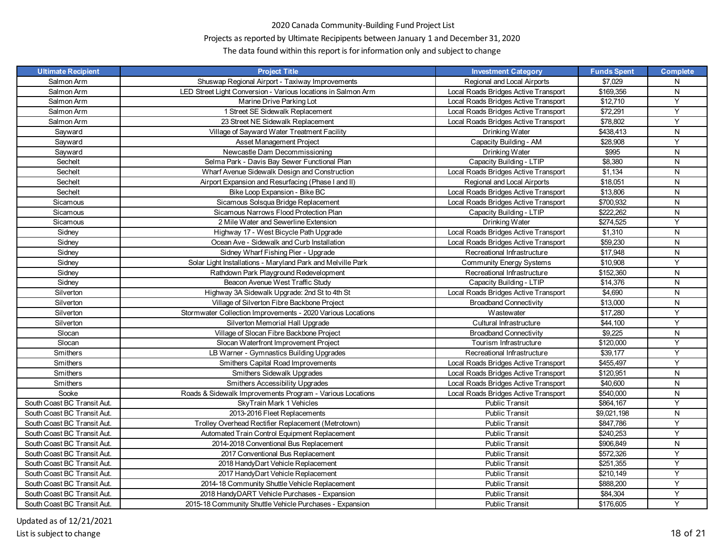# Projects as reported by Ultimate Recipipents between January 1 and December 31, 2020

| <b>Ultimate Recipient</b>   | <b>Project Title</b>                                          | <b>Investment Category</b>           | <b>Funds Spent</b> | <b>Complete</b> |
|-----------------------------|---------------------------------------------------------------|--------------------------------------|--------------------|-----------------|
| Salmon Arm                  | Shuswap Regional Airport - Taxiway Improvements               | Regional and Local Airports          | \$7.029            | N               |
| Salmon Arm                  | LED Street Light Conversion - Various locations in Salmon Arm | Local Roads Bridges Active Transport | \$169,356          | N               |
| Salmon Arm                  | Marine Drive Parking Lot                                      | Local Roads Bridges Active Transport | \$12,710           | Y               |
| Salmon Arm                  | 1 Street SE Sidewalk Replacement                              | Local Roads Bridges Active Transport | \$72,291           | Y               |
| Salmon Arm                  | 23 Street NE Sidewalk Replacement                             | Local Roads Bridges Active Transport | \$78,802           | Y               |
| Sayward                     | Village of Sayward Water Treatment Facility                   | Drinking Water                       | \$438,413          | N               |
| Sayward                     | Asset Management Project                                      | Capacity Building - AM               | \$28,908           | Y               |
| Sayward                     | Newcastle Dam Decommissioning                                 | Drinking Water                       | \$995              | N               |
| Sechelt                     | Selma Park - Davis Bay Sewer Functional Plan                  | Capacity Building - LTIP             | \$8,380            | N               |
| Sechelt                     | Wharf Avenue Sidewalk Design and Construction                 | Local Roads Bridges Active Transport | \$1,134            | N               |
| Sechelt                     | Airport Expansion and Resurfacing (Phase I and II)            | Regional and Local Airports          | \$18,051           | N               |
| Sechelt                     | Bike Loop Expansion - Bike BC                                 | Local Roads Bridges Active Transport | \$13,806           | N               |
| Sicamous                    | Sicamous Solsqua Bridge Replacement                           | Local Roads Bridges Active Transport | \$700,932          | N               |
| Sicamous                    | Sicamous Narrows Flood Protection Plan                        | Capacity Building - LTIP             | \$222,262          | N               |
| Sicamous                    | 2 Mile Water and Sewerline Extension                          | Drinking Water                       | \$274,525          | Y               |
| Sidney                      | Highway 17 - West Bicycle Path Upgrade                        | Local Roads Bridges Active Transport | \$1,310            | N               |
| Sidney                      | Ocean Ave - Sidewalk and Curb Installation                    | Local Roads Bridges Active Transport | \$59,230           | ${\sf N}$       |
| Sidney                      | Sidney Wharf Fishing Pier - Upgrade                           | Recreational Infrastructure          | \$17,948           | N               |
| Sidney                      | Solar Light Installations - Maryland Park and Melville Park   | <b>Community Energy Systems</b>      | \$10,908           | Y               |
| Sidney                      | Rathdown Park Playground Redevelopment                        | Recreational Infrastructure          | \$152,360          | N               |
| Sidney                      | Beacon Avenue West Traffic Study                              | Capacity Building - LTIP             | \$14,376           | N               |
| Silverton                   | Highway 3A Sidewalk Upgrade: 2nd St to 4th St                 | Local Roads Bridges Active Transport | \$4,690            | N               |
| Silverton                   | Village of Silverton Fibre Backbone Project                   | <b>Broadband Connectivity</b>        | \$13,000           | N               |
| Silverton                   | Stormwater Collection Improvements - 2020 Various Locations   | Wastewater                           | \$17.280           | Y               |
| Silverton                   | Silverton Memorial Hall Upgrade                               | Cultural Infrastructure              | \$44,100           | Y               |
| Slocan                      | Village of Slocan Fibre Backbone Project                      | <b>Broadband Connectivity</b>        | \$9,225            | N               |
| Slocan                      | Slocan Waterfront Improvement Project                         | Tourism Infrastructure               | \$120,000          | Y               |
| Smithers                    | LB Warner - Gymnastics Building Upgrades                      | Recreational Infrastructure          | \$39,177           | Y               |
| Smithers                    | Smithers Capital Road Improvements                            | Local Roads Bridges Active Transport | \$455,497          | Y               |
| Smithers                    | Smithers Sidewalk Upgrades                                    | Local Roads Bridges Active Transport | \$120,951          | N               |
| Smithers                    | Smithers Accessibility Upgrades                               | Local Roads Bridges Active Transport | \$40,600           | N               |
| Sooke                       | Roads & Sidewalk Improvements Program - Various Locations     | Local Roads Bridges Active Transport | \$540,000          | N               |
| South Coast BC Transit Aut. | SkyTrain Mark 1 Vehicles                                      | <b>Public Transit</b>                | \$864,167          | Y               |
| South Coast BC Transit Aut. | 2013-2016 Fleet Replacements                                  | Public Transit                       | \$9,021,198        | ${\sf N}$       |
| South Coast BC Transit Aut. | Trolley Overhead Rectifier Replacement (Metrotown)            | <b>Public Transit</b>                | \$847,786          | Y               |
| South Coast BC Transit Aut. | Automated Train Control Equipment Replacement                 | Public Transit                       | \$240,253          | Y               |
| South Coast BC Transit Aut. | 2014-2018 Conventional Bus Replacement                        | <b>Public Transit</b>                | \$906,849          | N               |
| South Coast BC Transit Aut. | 2017 Conventional Bus Replacement                             | <b>Public Transit</b>                | \$572,326          | Y               |
| South Coast BC Transit Aut. | 2018 HandyDart Vehicle Replacement                            | Public Transit                       | \$251,355          | Y               |
| South Coast BC Transit Aut. | 2017 HandyDart Vehicle Replacement                            | <b>Public Transit</b>                | \$210,149          | Y               |
| South Coast BC Transit Aut. | 2014-18 Community Shuttle Vehicle Replacement                 | Public Transit                       | \$888,200          | Y               |
| South Coast BC Transit Aut. | 2018 HandyDART Vehicle Purchases - Expansion                  | <b>Public Transit</b>                | \$84,304           | Υ               |
| South Coast BC Transit Aut. | 2015-18 Community Shuttle Vehicle Purchases - Expansion       | <b>Public Transit</b>                | \$176,605          | Y               |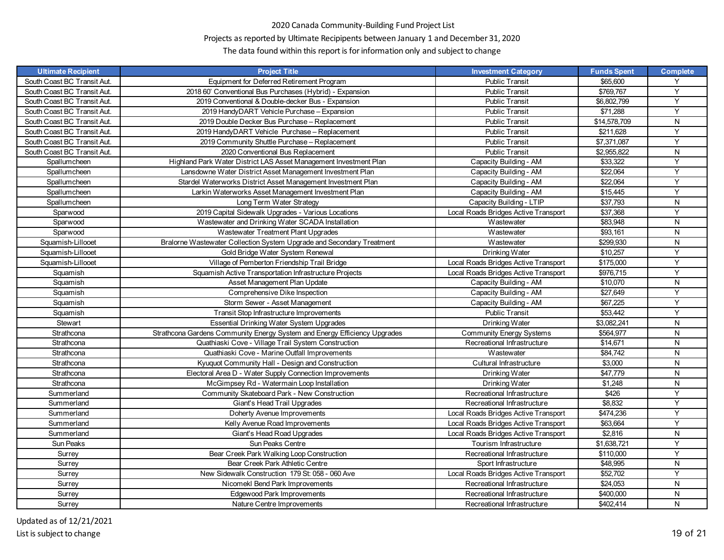# Projects as reported by Ultimate Recipipents between January 1 and December 31, 2020

| <b>Ultimate Recipient</b>   | <b>Project Title</b>                                                      | <b>Investment Category</b>           | <b>Funds Spent</b> | <b>Complete</b> |
|-----------------------------|---------------------------------------------------------------------------|--------------------------------------|--------------------|-----------------|
| South Coast BC Transit Aut. | Equipment for Deferred Retirement Program                                 | <b>Public Transit</b>                | \$65,600           | Y               |
| South Coast BC Transit Aut. | 2018 60' Conventional Bus Purchases (Hybrid) - Expansion                  | <b>Public Transit</b>                | \$769,767          | Y               |
| South Coast BC Transit Aut. | 2019 Conventional & Double-decker Bus - Expansion                         | <b>Public Transit</b>                | \$6,802,799        | Y               |
| South Coast BC Transit Aut. | 2019 HandyDART Vehicle Purchase - Expansion                               | <b>Public Transit</b>                | \$71,288           | Y               |
| South Coast BC Transit Aut. | 2019 Double Decker Bus Purchase - Replacement                             | <b>Public Transit</b>                | \$14,578,709       | ${\sf N}$       |
| South Coast BC Transit Aut. | 2019 HandyDART Vehicle Purchase - Replacement                             | Public Transit                       | \$211.628          | Y               |
| South Coast BC Transit Aut. | 2019 Community Shuttle Purchase - Replacement                             | <b>Public Transit</b>                | \$7,371,087        | Y               |
| South Coast BC Transit Aut. | 2020 Conventional Bus Replacement                                         | <b>Public Transit</b>                | \$2,955,822        | ${\sf N}$       |
| Spallumcheen                | Highland Park Water District LAS Asset Management Investment Plan         | Capacity Building - AM               | \$33,322           | Y               |
| Spallumcheen                | Lansdowne Water District Asset Management Investment Plan                 | Capacity Building - AM               | \$22,064           | Y               |
| Spallumcheen                | Stardel Waterworks District Asset Management Investment Plan              | Capacity Building - AM               | \$22.064           | Y               |
| Spallumcheen                | Larkin Waterworks Asset Management Investment Plan                        | Capacity Building - AM               | \$15,445           | Y               |
| Spallumcheen                | Long Term Water Strategy                                                  | Capacity Building - LTIP             | \$37,793           | ${\sf N}$       |
| Sparwood                    | 2019 Capital Sidewalk Upgrades - Various Locations                        | Local Roads Bridges Active Transport | \$37,368           | Y               |
| Sparwood                    | Wastewater and Drinking Water SCADA Installation                          | Wastewater                           | \$83,948           | N               |
| Sparwood                    | Wastewater Treatment Plant Upgrades                                       | Wastewater                           | \$93,161           | N               |
| Squamish-Lillooet           | Bralorne Wastewater Collection System Upgrade and Secondary Treatment     | Wastewater                           | \$299.930          | N               |
| Squamish-Lillooet           | Gold Bridge Water System Renewal                                          | Drinking Water                       | \$10,257           | Y               |
| Squamish-Lillooet           | Village of Pemberton Friendship Trail Bridge                              | Local Roads Bridges Active Transport | \$175,000          | Y               |
| Squamish                    | Squamish Active Transportation Infrastructure Projects                    | Local Roads Bridges Active Transport | \$976,715          | Y               |
| Squamish                    | Asset Management Plan Update                                              | Capacity Building - AM               | \$10,070           | N               |
| Squamish                    | Comprehensive Dike Inspection                                             | Capacity Building - AM               | \$27,649           | Y               |
| Squamish                    | Storm Sewer - Asset Management                                            | Capacity Building - AM               | \$67.225           | Y               |
| Squamish                    | Transit Stop Infrastructure Improvements                                  | Public Transit                       | \$53,442           | Y               |
| Stewart                     | Essential Drinking Water System Upgrades                                  | Drinking Water                       | \$3,082,241        | ${\sf N}$       |
| Strathcona                  | Strathcona Gardens Community Energy System and Energy Efficiency Upgrades | <b>Community Energy Systems</b>      | \$564,977          | N               |
| Strathcona                  | Quathiaski Cove - Village Trail System Construction                       | Recreational Infrastructure          | \$14,671           | N               |
| Strathcona                  | Quathiaski Cove - Marine Outfall Improvements                             | Wastewater                           | \$84,742           | N               |
| Strathcona                  | Kyuquot Community Hall - Design and Construction                          | Cultural Infrastructure              | \$3,000            | ${\sf N}$       |
| Strathcona                  | Electoral Area D - Water Supply Connection Improvements                   | Drinking Water                       | \$47,779           | N               |
| Strathcona                  | McGimpsey Rd - Watermain Loop Installation                                | Drinking Water                       | \$1,248            | ${\sf N}$       |
| Summerland                  | Community Skateboard Park - New Construction                              | Recreational Infrastructure          | \$426              | Y               |
| Summerland                  | Giant's Head Trail Upgrades                                               | Recreational Infrastructure          | \$8,832            | Y               |
| Summerland                  | Doherty Avenue Improvements                                               | Local Roads Bridges Active Transport | \$474,236          | Y               |
| Summerland                  | Kelly Avenue Road Improvements                                            | Local Roads Bridges Active Transport | \$63,664           | Y               |
| Summerland                  | Giant's Head Road Upgrades                                                | Local Roads Bridges Active Transport | \$2,816            | ${\sf N}$       |
| Sun Peaks                   | Sun Peaks Centre                                                          | Tourism Infrastructure               | \$1,638,721        | Y               |
| Surrey                      | Bear Creek Park Walking Loop Construction                                 | Recreational Infrastructure          | \$110,000          | Y               |
| Surrey                      | Bear Creek Park Athletic Centre                                           | Sport Infrastructure                 | \$48,995           | N               |
| Surrey                      | New Sidewalk Construction 179 St: 058 - 060 Ave                           | Local Roads Bridges Active Transport | \$52,702           | Y               |
| Surrey                      | Nicomekl Bend Park Improvements                                           | Recreational Infrastructure          | \$24,053           | ${\sf N}$       |
| Surrey                      | Edgewood Park Improvements                                                | Recreational Infrastructure          | \$400,000          | N               |
| Surrey                      | Nature Centre Improvements                                                | Recreational Infrastructure          | \$402,414          | N               |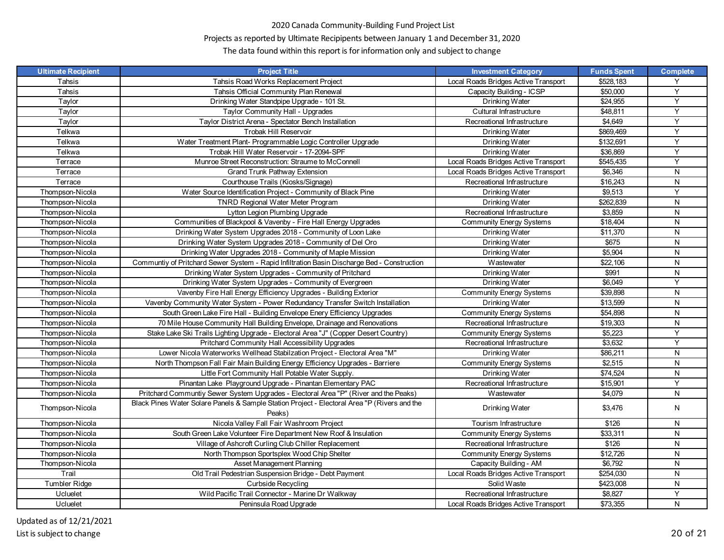# Projects as reported by Ultimate Recipipents between January 1 and December 31, 2020

| <b>Ultimate Recipient</b> | <b>Project Title</b>                                                                                   | <b>Investment Category</b>           | <b>Funds Spent</b> | <b>Complete</b> |
|---------------------------|--------------------------------------------------------------------------------------------------------|--------------------------------------|--------------------|-----------------|
| Tahsis                    | Tahsis Road Works Replacement Project                                                                  | Local Roads Bridges Active Transport | \$528,183          | Y               |
| Tahsis                    | Tahsis Official Community Plan Renewal                                                                 | Capacity Building - ICSP             | \$50,000           | Y               |
| Taylor                    | Drinking Water Standpipe Upgrade - 101 St.                                                             | Drinking Water                       | \$24,955           | $\overline{Y}$  |
| Taylor                    | Taylor Community Hall - Upgrades                                                                       | Cultural Infrastructure              | \$48,811           | Y               |
| Taylor                    | Taylor District Arena - Spectator Bench Installation                                                   | Recreational Infrastructure          | \$4,649            | Y               |
| Telkwa                    | Trobak Hill Reservoir                                                                                  | Drinking Water                       | \$869.469          | Y               |
| Telkwa                    | Water Treatment Plant- Programmable Logic Controller Upgrade                                           | Drinking Water                       | \$132,691          | Y               |
| Telkwa                    | Trobak Hill Water Reservoir - 17-2094-SPF                                                              | Drinking Water                       | \$36,869           | Y               |
| Terrace                   | Munroe Street Reconstruction: Straume to McConnell                                                     | Local Roads Bridges Active Transport | \$545,435          | Y               |
| Terrace                   | Grand Trunk Pathway Extension                                                                          | Local Roads Bridges Active Transport | \$6,346            | ${\sf N}$       |
| Terrace                   | Courthouse Trails (Kiosks/Signage)                                                                     | Recreational Infrastructure          | \$16,243           | N               |
| Thompson-Nicola           | Water Source Identification Project - Community of Black Pine                                          | Drinking Water                       | \$9,513            | Υ               |
| Thompson-Nicola           | <b>TNRD Regional Water Meter Program</b>                                                               | Drinking Water                       | \$262,839          | ${\sf N}$       |
| Thompson-Nicola           | Lytton Legion Plumbing Upgrade                                                                         | Recreational Infrastructure          | \$3,859            | ${\sf N}$       |
| Thompson-Nicola           | Communities of Blackpool & Vavenby - Fire Hall Energy Upgrades                                         | <b>Community Energy Systems</b>      | \$18,404           | N               |
| Thompson-Nicola           | Drinking Water System Upgrades 2018 - Community of Loon Lake                                           | Drinking Water                       | \$11,370           | N               |
| Thompson-Nicola           | Drinking Water System Upgrades 2018 - Community of Del Oro                                             | Drinking Water                       | \$675              | ${\sf N}$       |
| Thompson-Nicola           | Drinking Water Upgrades 2018 - Community of Maple Mission                                              | Drinking Water                       | \$5,904            | N               |
| Thompson-Nicola           | Communtiy of Pritchard Sewer System - Rapid Infiltration Basin Discharge Bed - Construction            | Wastewater                           | \$22,106           | ${\sf N}$       |
| Thompson-Nicola           | Drinking Water System Upgrades - Community of Pritchard                                                | Drinking Water                       | \$991              | ${\sf N}$       |
| Thompson-Nicola           | Drinking Water System Upgrades - Community of Evergreen                                                | Drinking Water                       | \$6,049            | Y               |
| Thompson-Nicola           | Vavenby Fire Hall Energy Efficiency Upgrades - Building Exterior                                       | <b>Community Energy Systems</b>      | \$39,898           | N               |
| Thompson-Nicola           | Vavenby Community Water System - Power Redundancy Transfer Switch Installation                         | Drinking Water                       | \$13,599           | N               |
| Thompson-Nicola           | South Green Lake Fire Hall - Building Envelope Enery Efficiency Upgrades                               | <b>Community Energy Systems</b>      | \$54,898           | ${\sf N}$       |
| Thompson-Nicola           | 70 Mile House Community Hall Building Envelope, Drainage and Renovations                               | Recreational Infrastructure          | \$19,303           | ${\sf N}$       |
| Thompson-Nicola           | Stake Lake Ski Trails Lighting Upgrade - Electoral Area "J" (Copper Desert Country)                    | <b>Community Energy Systems</b>      | \$5,223            | Y               |
| Thompson-Nicola           | Pritchard Community Hall Accessibility Upgrades                                                        | Recreational Infrastructure          | \$3,632            | Y               |
| Thompson-Nicola           | Lower Nicola Waterworks Wellhead Stabilzation Project - Electoral Area "M"                             | Drinking Water                       | \$86,211           | N               |
| Thompson-Nicola           | North Thompson Fall Fair Main Building Energy Efficiency Upgrades - Barriere                           | <b>Community Energy Systems</b>      | \$2,515            | ${\sf N}$       |
| Thompson-Nicola           | Little Fort Community Hall Potable Water Supply.                                                       | Drinking Water                       | \$74,524           | ${\sf N}$       |
| Thompson-Nicola           | Pinantan Lake Playground Upgrade - Pinantan Elementary PAC                                             | Recreational Infrastructure          | \$15,901           | Y               |
| Thompson-Nicola           | Pritchard Communtiy Sewer System Upgrades - Electoral Area "P" (River and the Peaks)                   | Wastewater                           | \$4,079            | N               |
| Thompson-Nicola           | Black Pines Water Solare Panels & Sample Station Project - Electoral Area "P (Rivers and the<br>Peaks) | Drinking Water                       | \$3,476            | N               |
| Thompson-Nicola           | Nicola Valley Fall Fair Washroom Project                                                               | Tourism Infrastructure               | \$126              | N               |
| Thompson-Nicola           | South Green Lake Volunteer Fire Department New Roof & Insulation                                       | Community Energy Systems             | \$33,311           | N               |
| Thompson-Nicola           | Village of Ashcroft Curling Club Chiller Replacement                                                   | Recreational Infrastructure          | \$126              | ${\sf N}$       |
| Thompson-Nicola           | North Thompson Sportsplex Wood Chip Shelter                                                            | <b>Community Energy Systems</b>      | \$12,726           | N               |
| Thompson-Nicola           | Asset Management Planning                                                                              | Capacity Building - AM               | \$6,792            | N               |
| Trail                     | Old Trail Pedestrian Suspension Bridge - Debt Payment                                                  | Local Roads Bridges Active Transport | \$254,030          | N               |
| Tumbler Ridge             | <b>Curbside Recycling</b>                                                                              | Solid Waste                          | \$423,008          | N               |
| Ucluelet                  | Wild Pacific Trail Connector - Marine Dr Walkway                                                       | Recreational Infrastructure          | \$8,827            | Υ               |
| Ucluelet                  | Peninsula Road Upgrade                                                                                 | Local Roads Bridges Active Transport | \$73,355           | $\overline{N}$  |